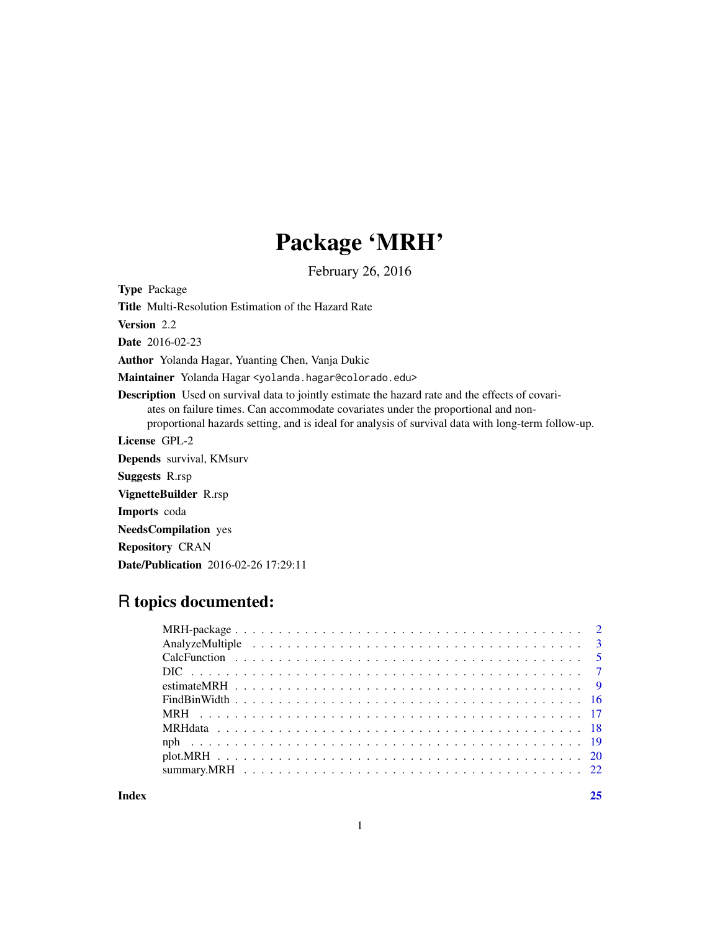## Package 'MRH'

February 26, 2016

Type Package

Title Multi-Resolution Estimation of the Hazard Rate

Version 2.2

Date 2016-02-23

Author Yolanda Hagar, Yuanting Chen, Vanja Dukic

Maintainer Yolanda Hagar <yolanda.hagar@colorado.edu>

Description Used on survival data to jointly estimate the hazard rate and the effects of covariates on failure times. Can accommodate covariates under the proportional and nonproportional hazards setting, and is ideal for analysis of survival data with long-term follow-up.

License GPL-2

Depends survival, KMsurv Suggests R.rsp

VignetteBuilder R.rsp

Imports coda

NeedsCompilation yes

Repository CRAN

Date/Publication 2016-02-26 17:29:11

## R topics documented:

**Index** [25](#page-24-0)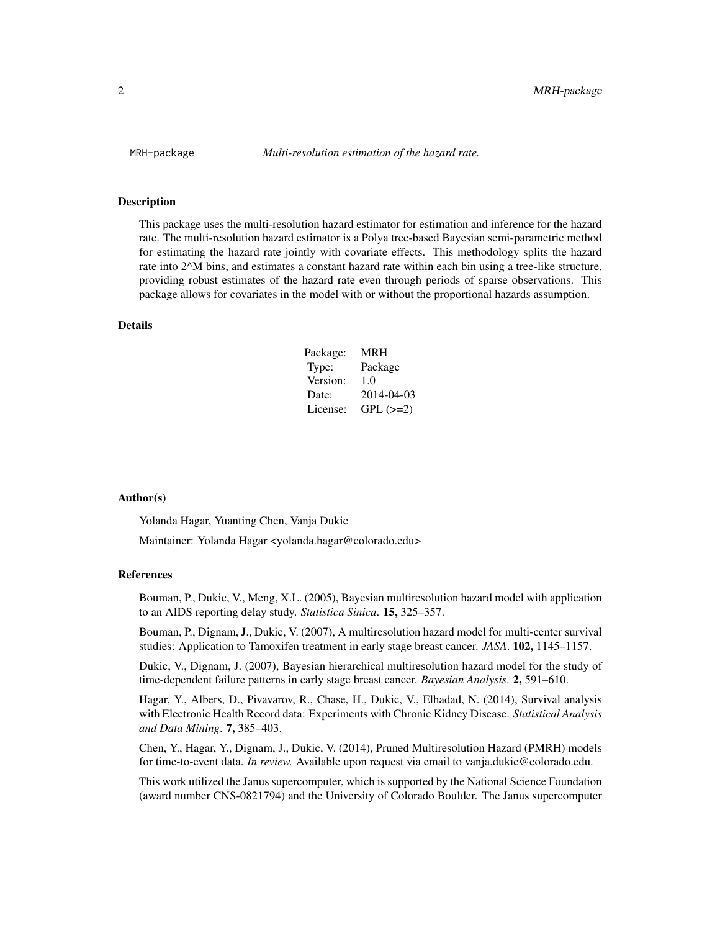<span id="page-1-1"></span><span id="page-1-0"></span>

#### Description

This package uses the multi-resolution hazard estimator for estimation and inference for the hazard rate. The multi-resolution hazard estimator is a Polya tree-based Bayesian semi-parametric method for estimating the hazard rate jointly with covariate effects. This methodology splits the hazard rate into 2^M bins, and estimates a constant hazard rate within each bin using a tree-like structure, providing robust estimates of the hazard rate even through periods of sparse observations. This package allows for covariates in the model with or without the proportional hazards assumption.

#### Details

| Package: | <b>MRH</b> |
|----------|------------|
| Type:    | Package    |
| Version: | 1.0        |
| Date:    | 2014-04-03 |
| License: | $GPL (=2)$ |

#### Author(s)

Yolanda Hagar, Yuanting Chen, Vanja Dukic

Maintainer: Yolanda Hagar <yolanda.hagar@colorado.edu>

#### References

Bouman, P., Dukic, V., Meng, X.L. (2005), Bayesian multiresolution hazard model with application to an AIDS reporting delay study. *Statistica Sinica*. 15, 325–357.

Bouman, P., Dignam, J., Dukic, V. (2007), A multiresolution hazard model for multi-center survival studies: Application to Tamoxifen treatment in early stage breast cancer. *JASA*. 102, 1145–1157.

Dukic, V., Dignam, J. (2007), Bayesian hierarchical multiresolution hazard model for the study of time-dependent failure patterns in early stage breast cancer. *Bayesian Analysis*. 2, 591–610.

Hagar, Y., Albers, D., Pivavarov, R., Chase, H., Dukic, V., Elhadad, N. (2014), Survival analysis with Electronic Health Record data: Experiments with Chronic Kidney Disease. *Statistical Analysis and Data Mining*. 7, 385–403.

Chen, Y., Hagar, Y., Dignam, J., Dukic, V. (2014), Pruned Multiresolution Hazard (PMRH) models for time-to-event data. *In review.* Available upon request via email to vanja.dukic@colorado.edu.

This work utilized the Janus supercomputer, which is supported by the National Science Foundation (award number CNS-0821794) and the University of Colorado Boulder. The Janus supercomputer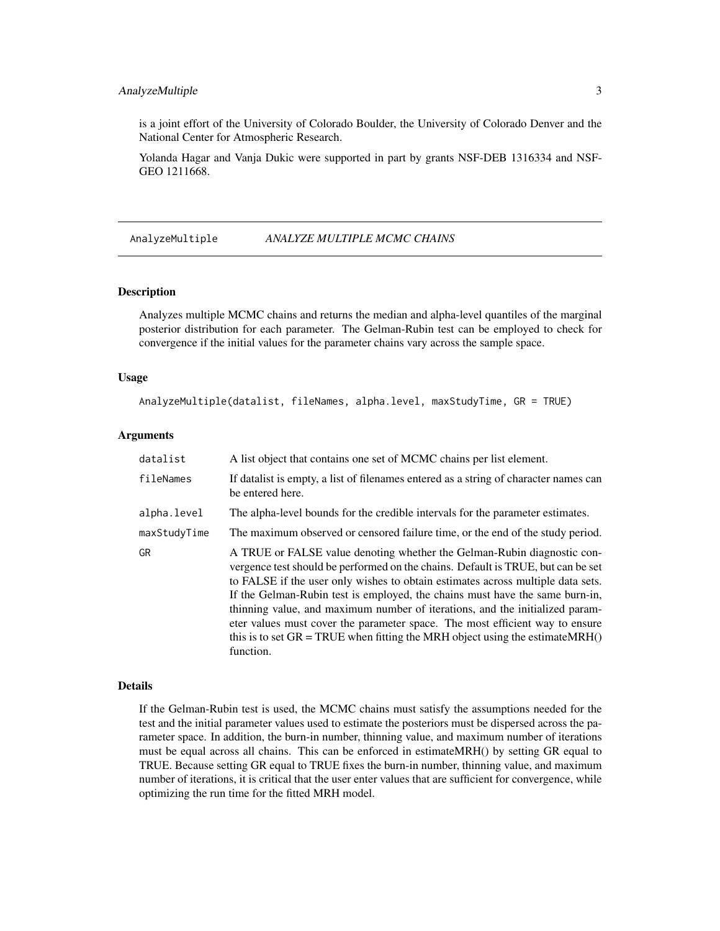## <span id="page-2-0"></span>AnalyzeMultiple 3

is a joint effort of the University of Colorado Boulder, the University of Colorado Denver and the National Center for Atmospheric Research.

Yolanda Hagar and Vanja Dukic were supported in part by grants NSF-DEB 1316334 and NSF-GEO 1211668.

AnalyzeMultiple *ANALYZE MULTIPLE MCMC CHAINS*

#### Description

Analyzes multiple MCMC chains and returns the median and alpha-level quantiles of the marginal posterior distribution for each parameter. The Gelman-Rubin test can be employed to check for convergence if the initial values for the parameter chains vary across the sample space.

#### Usage

AnalyzeMultiple(datalist, fileNames, alpha.level, maxStudyTime, GR = TRUE)

#### **Arguments**

| datalist     | A list object that contains one set of MCMC chains per list element.                                                                                                                                                                                                                                                                                                                                                                                                                                                                                                                           |
|--------------|------------------------------------------------------------------------------------------------------------------------------------------------------------------------------------------------------------------------------------------------------------------------------------------------------------------------------------------------------------------------------------------------------------------------------------------------------------------------------------------------------------------------------------------------------------------------------------------------|
| fileNames    | If datalist is empty, a list of filenames entered as a string of character names can<br>be entered here.                                                                                                                                                                                                                                                                                                                                                                                                                                                                                       |
| alpha.level  | The alpha-level bounds for the credible intervals for the parameter estimates.                                                                                                                                                                                                                                                                                                                                                                                                                                                                                                                 |
| maxStudyTime | The maximum observed or censored failure time, or the end of the study period.                                                                                                                                                                                                                                                                                                                                                                                                                                                                                                                 |
| <b>GR</b>    | A TRUE or FALSE value denoting whether the Gelman-Rubin diagnostic con-<br>vergence test should be performed on the chains. Default is TRUE, but can be set<br>to FALSE if the user only wishes to obtain estimates across multiple data sets.<br>If the Gelman-Rubin test is employed, the chains must have the same burn-in,<br>thinning value, and maximum number of iterations, and the initialized param-<br>eter values must cover the parameter space. The most efficient way to ensure<br>this is to set $GR = TRUE$ when fitting the MRH object using the estimate MRH()<br>function. |

#### Details

If the Gelman-Rubin test is used, the MCMC chains must satisfy the assumptions needed for the test and the initial parameter values used to estimate the posteriors must be dispersed across the parameter space. In addition, the burn-in number, thinning value, and maximum number of iterations must be equal across all chains. This can be enforced in estimateMRH() by setting GR equal to TRUE. Because setting GR equal to TRUE fixes the burn-in number, thinning value, and maximum number of iterations, it is critical that the user enter values that are sufficient for convergence, while optimizing the run time for the fitted MRH model.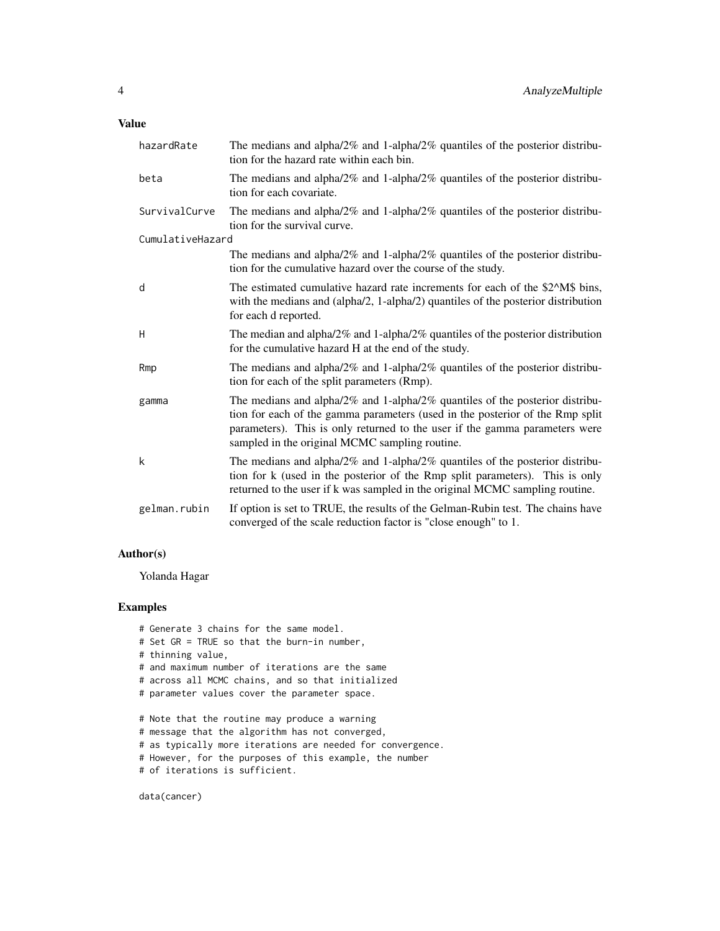| hazardRate       | The medians and alpha/ $2\%$ and 1-alpha/ $2\%$ quantiles of the posterior distribu-<br>tion for the hazard rate within each bin.                                                                                                                                                                      |
|------------------|--------------------------------------------------------------------------------------------------------------------------------------------------------------------------------------------------------------------------------------------------------------------------------------------------------|
| beta             | The medians and alpha/ $2\%$ and 1-alpha/ $2\%$ quantiles of the posterior distribu-<br>tion for each covariate.                                                                                                                                                                                       |
| SurvivalCurve    | The medians and alpha/2% and 1-alpha/2% quantiles of the posterior distribu-<br>tion for the survival curve.                                                                                                                                                                                           |
| CumulativeHazard |                                                                                                                                                                                                                                                                                                        |
|                  | The medians and alpha/ $2\%$ and 1-alpha/ $2\%$ quantiles of the posterior distribu-<br>tion for the cumulative hazard over the course of the study.                                                                                                                                                   |
| d                | The estimated cumulative hazard rate increments for each of the \$2^M\$ bins,<br>with the medians and (alpha/2, 1-alpha/2) quantiles of the posterior distribution<br>for each d reported.                                                                                                             |
| H                | The median and alpha/2% and 1-alpha/2% quantiles of the posterior distribution<br>for the cumulative hazard H at the end of the study.                                                                                                                                                                 |
| Rmp              | The medians and alpha/ $2\%$ and 1-alpha/ $2\%$ quantiles of the posterior distribu-<br>tion for each of the split parameters (Rmp).                                                                                                                                                                   |
| gamma            | The medians and alpha/ $2\%$ and 1-alpha/ $2\%$ quantiles of the posterior distribu-<br>tion for each of the gamma parameters (used in the posterior of the Rmp split<br>parameters). This is only returned to the user if the gamma parameters were<br>sampled in the original MCMC sampling routine. |
| k                | The medians and alpha/ $2\%$ and 1-alpha/ $2\%$ quantiles of the posterior distribu-<br>tion for k (used in the posterior of the Rmp split parameters). This is only<br>returned to the user if k was sampled in the original MCMC sampling routine.                                                   |
| gelman.rubin     | If option is set to TRUE, the results of the Gelman-Rubin test. The chains have<br>converged of the scale reduction factor is "close enough" to 1.                                                                                                                                                     |

## Author(s)

Yolanda Hagar

## Examples

```
# Generate 3 chains for the same model.
# Set GR = TRUE so that the burn-in number,
# thinning value,
# and maximum number of iterations are the same
# across all MCMC chains, and so that initialized
# parameter values cover the parameter space.
# Note that the routine may produce a warning
# message that the algorithm has not converged,
# as typically more iterations are needed for convergence.
# However, for the purposes of this example, the number
# of iterations is sufficient.
```
data(cancer)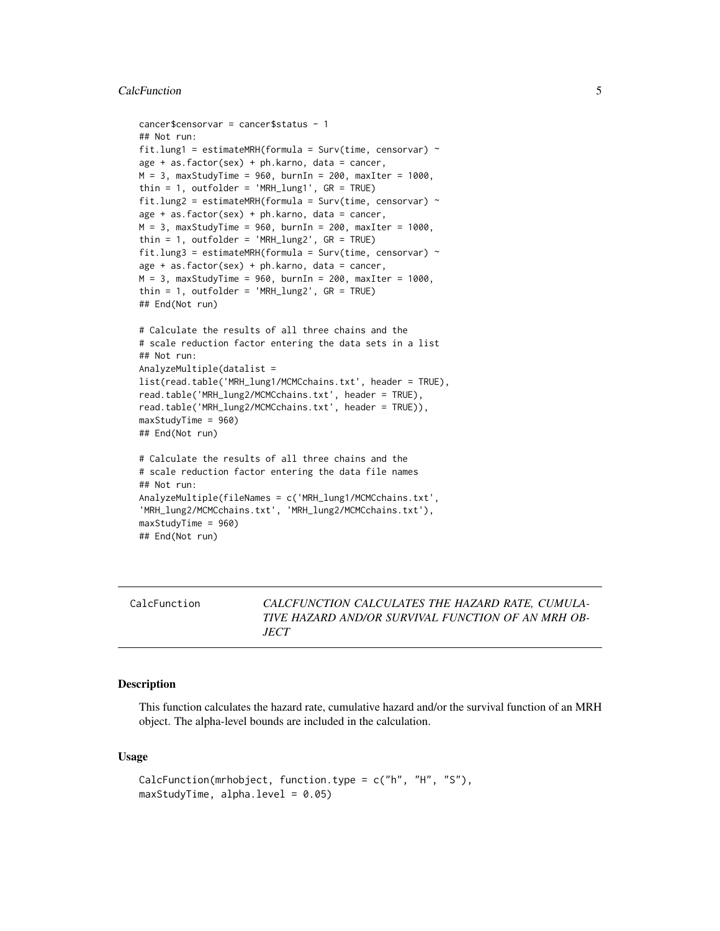#### <span id="page-4-0"></span>CalcFunction 5

```
cancer$censorvar = cancer$status - 1
## Not run:
fit.lung1 = estimateMRH(formula = Surv(time, censorvar) \simage + as.factor(sex) + ph.karno, data = cancer,
M = 3, maxStudyTime = 960, burnIn = 200, maxIter = 1000,
thin = 1, outfolder = 'MRH_lung1', GR = TRUE)
fit.lung2 = estimateMRH(formula = Surv(time, censorvar) \simage + as.factor(sex) + ph.karno, data = cancer,
M = 3, maxStudyTime = 960, burnIn = 200, maxIter = 1000,
thin = 1, outfolder = 'MRH_lung2', GR = TRUE)
fit.lung3 = estimateMRH(formula = Surv(time, censorvar) \simage + as.factor(sex) + ph.karno, data = cancer,
M = 3, maxStudyTime = 960, burnIn = 200, maxIter = 1000,
thin = 1, outfolder = 'MRH_lung2', GR = TRUE)
## End(Not run)
# Calculate the results of all three chains and the
# scale reduction factor entering the data sets in a list
## Not run:
AnalyzeMultiple(datalist =
list(read.table('MRH_lung1/MCMCchains.txt', header = TRUE),
read.table('MRH_lung2/MCMCchains.txt', header = TRUE),
read.table('MRH_lung2/MCMCchains.txt', header = TRUE)),
maxStudyTime = 960)
## End(Not run)
# Calculate the results of all three chains and the
# scale reduction factor entering the data file names
## Not run:
AnalyzeMultiple(fileNames = c('MRH_lung1/MCMCchains.txt',
'MRH_lung2/MCMCchains.txt', 'MRH_lung2/MCMCchains.txt'),
maxStudyTime = 960)
## End(Not run)
```

| CALCFUNCTION CALCULATES THE HAZARD RATE, CUMULA-<br>CalcFunction<br>TIVE HAZARD AND/OR SURVIVAL FUNCTION OF AN MRH OB-<br><i>JECT</i> |
|---------------------------------------------------------------------------------------------------------------------------------------|
|---------------------------------------------------------------------------------------------------------------------------------------|

#### Description

This function calculates the hazard rate, cumulative hazard and/or the survival function of an MRH object. The alpha-level bounds are included in the calculation.

#### Usage

```
CalcFunction(mrhobject, function.type = c("h", "H", "S"),
maxStudyTime, alpha.level = 0.05)
```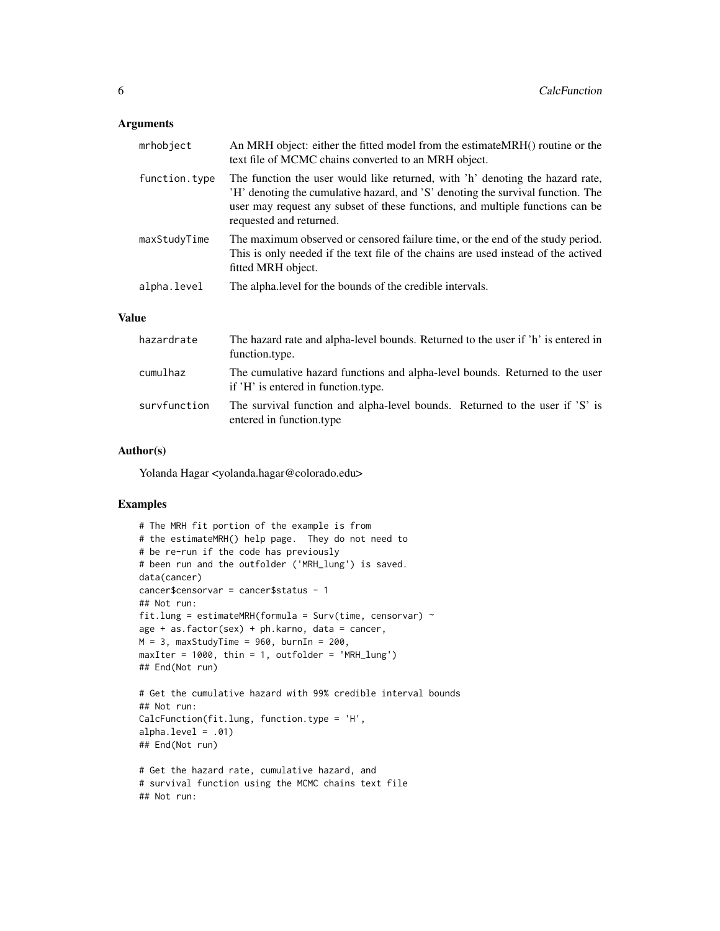## Arguments

| mrhobject     | An MRH object: either the fitted model from the estimateMRH() routine or the<br>text file of MCMC chains converted to an MRH object.                                                                                                                                         |
|---------------|------------------------------------------------------------------------------------------------------------------------------------------------------------------------------------------------------------------------------------------------------------------------------|
| function.type | The function the user would like returned, with 'h' denoting the hazard rate,<br>'H' denoting the cumulative hazard, and 'S' denoting the survival function. The<br>user may request any subset of these functions, and multiple functions can be<br>requested and returned. |
| maxStudyTime  | The maximum observed or censored failure time, or the end of the study period.<br>This is only needed if the text file of the chains are used instead of the actived<br>fitted MRH object.                                                                                   |
| alpha.level   | The alpha. level for the bounds of the credible intervals.                                                                                                                                                                                                                   |

## Value

| hazardrate   | The hazard rate and alpha-level bounds. Returned to the user if 'h' is entered in<br>function.type.                 |
|--------------|---------------------------------------------------------------------------------------------------------------------|
| cumulhaz     | The cumulative hazard functions and alpha-level bounds. Returned to the user<br>if 'H' is entered in function type. |
| survfunction | The survival function and alpha-level bounds. Returned to the user if 'S' is<br>entered in function.type            |

#### Author(s)

Yolanda Hagar <yolanda.hagar@colorado.edu>

## Examples

```
# The MRH fit portion of the example is from
# the estimateMRH() help page. They do not need to
# be re-run if the code has previously
# been run and the outfolder ('MRH_lung') is saved.
data(cancer)
cancer$censorvar = cancer$status - 1
## Not run:
fit.lung = estimateMRH(formula = Surv(time, censorvar) ~
age + as.factor(sex) + ph.karno, data = cancer,
M = 3, maxStudyTime = 960, burnIn = 200,
maxIter = 1000, thin = 1, outfolder = 'MRH_lung')
## End(Not run)
# Get the cumulative hazard with 99% credible interval bounds
## Not run:
CalcFunction(fit.lung, function.type = 'H',
alpha. level = .01)## End(Not run)
# Get the hazard rate, cumulative hazard, and
# survival function using the MCMC chains text file
## Not run:
```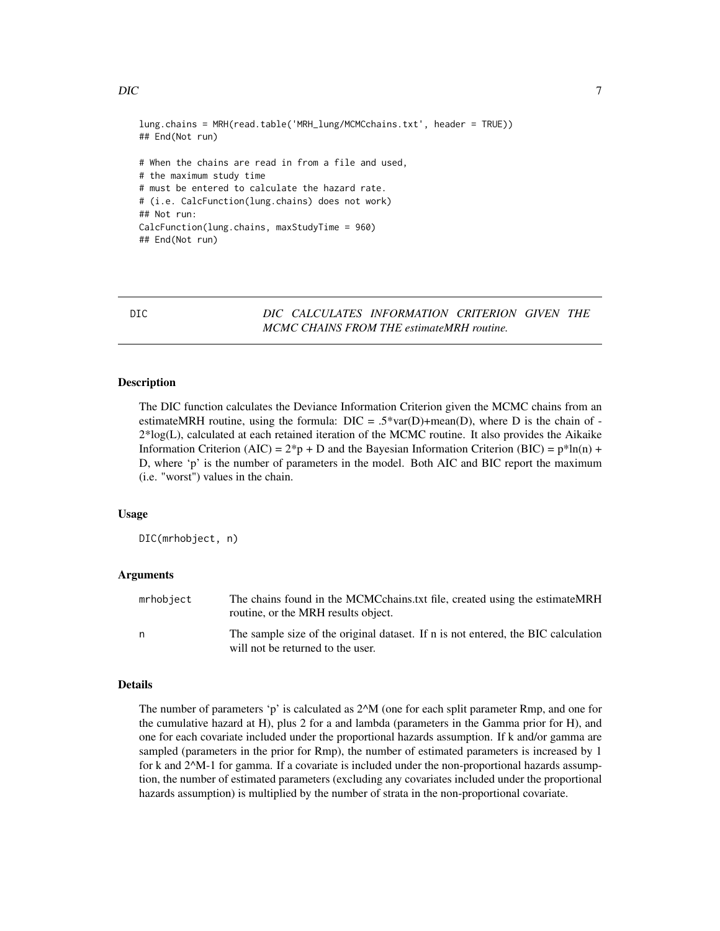```
lung.chains = MRH(read.table('MRH_lung/MCMCchains.txt', header = TRUE))
## End(Not run)
# When the chains are read in from a file and used,
# the maximum study time
# must be entered to calculate the hazard rate.
# (i.e. CalcFunction(lung.chains) does not work)
## Not run:
CalcFunction(lung.chains, maxStudyTime = 960)
## End(Not run)
```
DIC *DIC CALCULATES INFORMATION CRITERION GIVEN THE MCMC CHAINS FROM THE estimateMRH routine.*

## Description

The DIC function calculates the Deviance Information Criterion given the MCMC chains from an estimateMRH routine, using the formula:  $DIC = .5*var(D)+mean(D)$ , where D is the chain of -2\*log(L), calculated at each retained iteration of the MCMC routine. It also provides the Aikaike Information Criterion (AIC) =  $2^*p + D$  and the Bayesian Information Criterion (BIC) =  $p^*ln(n) + D$ D, where 'p' is the number of parameters in the model. Both AIC and BIC report the maximum (i.e. "worst") values in the chain.

#### Usage

DIC(mrhobject, n)

#### Arguments

| mrhobject | The chains found in the MCMC chains txt file, created using the estimate MRH<br>routine, or the MRH results object.    |
|-----------|------------------------------------------------------------------------------------------------------------------------|
| n         | The sample size of the original dataset. If n is not entered, the BIC calculation<br>will not be returned to the user. |

#### Details

The number of parameters 'p' is calculated as 2^M (one for each split parameter Rmp, and one for the cumulative hazard at H), plus 2 for a and lambda (parameters in the Gamma prior for H), and one for each covariate included under the proportional hazards assumption. If k and/or gamma are sampled (parameters in the prior for Rmp), the number of estimated parameters is increased by 1 for k and 2^M-1 for gamma. If a covariate is included under the non-proportional hazards assumption, the number of estimated parameters (excluding any covariates included under the proportional hazards assumption) is multiplied by the number of strata in the non-proportional covariate.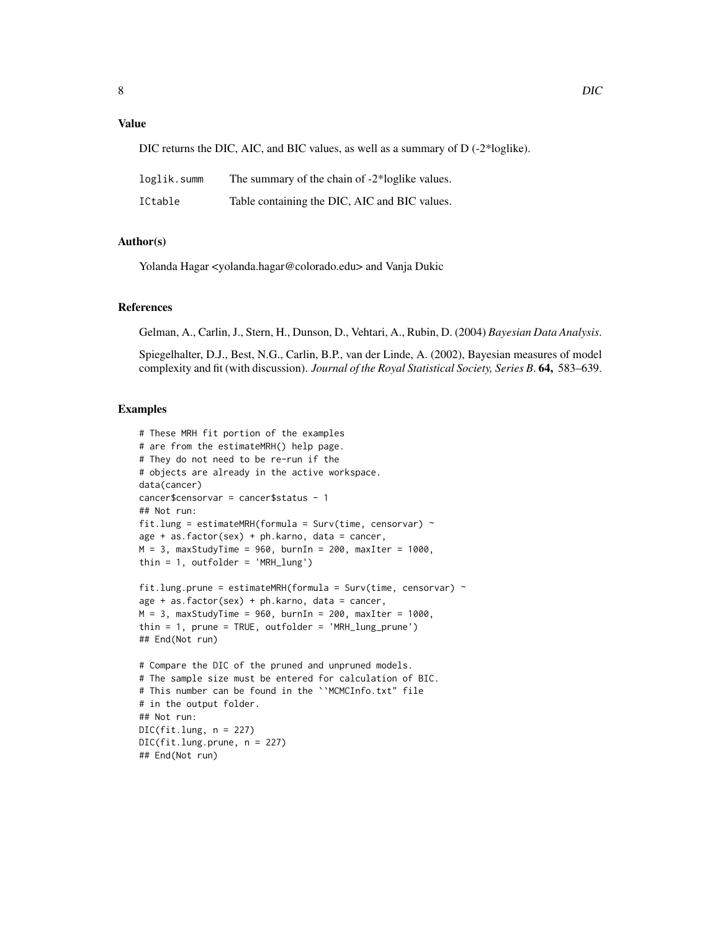## Value

| loglik.summ | The summary of the chain of -2*loglike values. |
|-------------|------------------------------------------------|
| ICtable     | Table containing the DIC, AIC and BIC values.  |

#### Author(s)

Yolanda Hagar <yolanda.hagar@colorado.edu> and Vanja Dukic

#### References

Gelman, A., Carlin, J., Stern, H., Dunson, D., Vehtari, A., Rubin, D. (2004) *Bayesian Data Analysis*.

Spiegelhalter, D.J., Best, N.G., Carlin, B.P., van der Linde, A. (2002), Bayesian measures of model complexity and fit (with discussion). *Journal of the Royal Statistical Society, Series B*. 64, 583–639.

#### Examples

```
# These MRH fit portion of the examples
# are from the estimateMRH() help page.
# They do not need to be re-run if the
# objects are already in the active workspace.
data(cancer)
cancer$censorvar = cancer$status - 1
## Not run:
fit.lung = estimateMRH(formula = Surv(time, censorvar) \simage + as.factor(sex) + ph.karno, data = cancer,
M = 3, maxStudyTime = 960, burnIn = 200, maxIter = 1000,
thin = 1, outfolder = 'MRH_lung')
fit.lung.prune = estimateMRH(formula = Surv(time, censorvar) \simage + as.factor(sex) + ph.karno, data = cancer,
M = 3, maxStudyTime = 960, burnIn = 200, maxIter = 1000,
thin = 1, prune = TRUE, outfolder = 'MRH_lung_prune')
## End(Not run)
# Compare the DIC of the pruned and unpruned models.
# The sample size must be entered for calculation of BIC.
# This number can be found in the ``MCMCInfo.txt" file
# in the output folder.
## Not run:
DIC(fit.lung, n = 227)
DIC(fit.lung.prune, n = 227)
```
## End(Not run)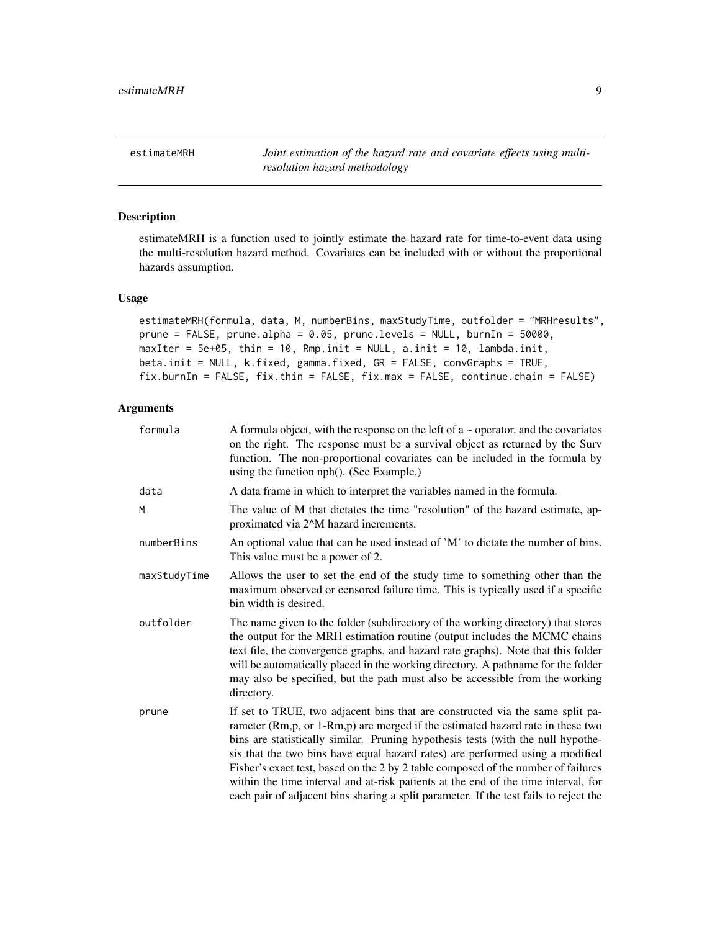<span id="page-8-0"></span>estimateMRH *Joint estimation of the hazard rate and covariate effects using multiresolution hazard methodology*

#### Description

estimateMRH is a function used to jointly estimate the hazard rate for time-to-event data using the multi-resolution hazard method. Covariates can be included with or without the proportional hazards assumption.

## Usage

```
estimateMRH(formula, data, M, numberBins, maxStudyTime, outfolder = "MRHresults",
prune = FALSE, prune.alpha = 0.05, prune.levels = NULL, burnIn = 50000,
maxIter = 5e+05, thin = 10, Rmp.init = NULL, a.init = 10, lambda.init,
beta.init = NULL, k.fixed, gamma.fixed, GR = FALSE, convGraphs = TRUE,
fix.burnIn = FALSE, fix.thin = FALSE, fix.max = FALSE, continue.chain = FALSE)
```
## Arguments

| formula      | A formula object, with the response on the left of $a \sim$ operator, and the covariates<br>on the right. The response must be a survival object as returned by the Surv<br>function. The non-proportional covariates can be included in the formula by<br>using the function nph(). (See Example.)                                                                                                                                                                                                                                                                                                        |
|--------------|------------------------------------------------------------------------------------------------------------------------------------------------------------------------------------------------------------------------------------------------------------------------------------------------------------------------------------------------------------------------------------------------------------------------------------------------------------------------------------------------------------------------------------------------------------------------------------------------------------|
| data         | A data frame in which to interpret the variables named in the formula.                                                                                                                                                                                                                                                                                                                                                                                                                                                                                                                                     |
| M            | The value of M that dictates the time "resolution" of the hazard estimate, ap-<br>proximated via 2 <sup><math>\Lambda</math></sup> M hazard increments.                                                                                                                                                                                                                                                                                                                                                                                                                                                    |
| numberBins   | An optional value that can be used instead of 'M' to dictate the number of bins.<br>This value must be a power of 2.                                                                                                                                                                                                                                                                                                                                                                                                                                                                                       |
| maxStudyTime | Allows the user to set the end of the study time to something other than the<br>maximum observed or censored failure time. This is typically used if a specific<br>bin width is desired.                                                                                                                                                                                                                                                                                                                                                                                                                   |
| outfolder    | The name given to the folder (subdirectory of the working directory) that stores<br>the output for the MRH estimation routine (output includes the MCMC chains<br>text file, the convergence graphs, and hazard rate graphs). Note that this folder<br>will be automatically placed in the working directory. A pathname for the folder<br>may also be specified, but the path must also be accessible from the working<br>directory.                                                                                                                                                                      |
| prune        | If set to TRUE, two adjacent bins that are constructed via the same split pa-<br>rameter (Rm, p, or 1-Rm, p) are merged if the estimated hazard rate in these two<br>bins are statistically similar. Pruning hypothesis tests (with the null hypothe-<br>sis that the two bins have equal hazard rates) are performed using a modified<br>Fisher's exact test, based on the 2 by 2 table composed of the number of failures<br>within the time interval and at-risk patients at the end of the time interval, for<br>each pair of adjacent bins sharing a split parameter. If the test fails to reject the |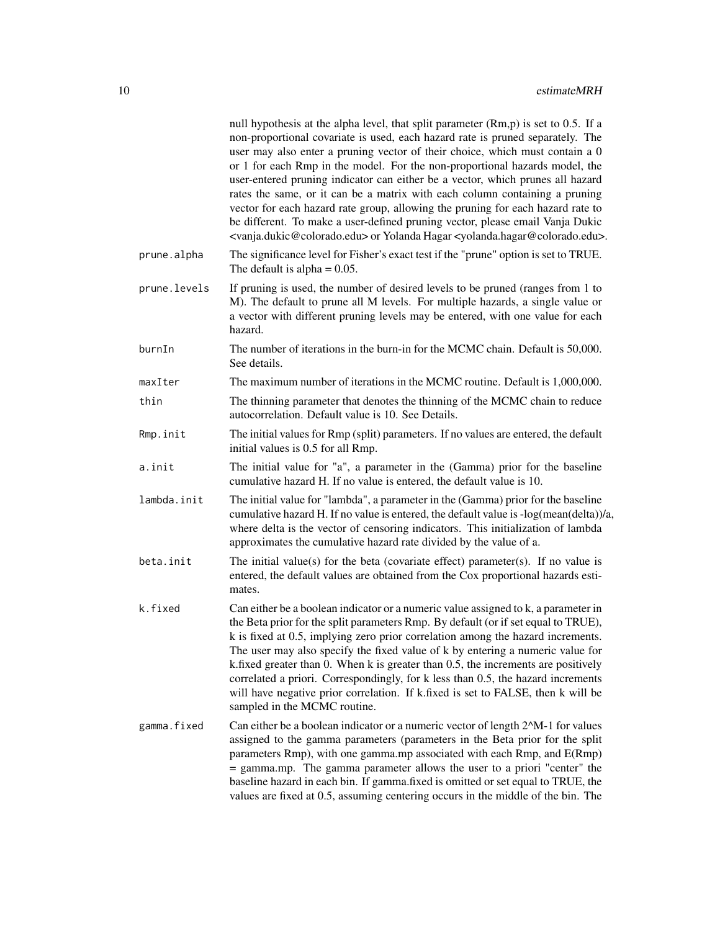|              | null hypothesis at the alpha level, that split parameter (Rm,p) is set to 0.5. If a<br>non-proportional covariate is used, each hazard rate is pruned separately. The<br>user may also enter a pruning vector of their choice, which must contain a 0<br>or 1 for each Rmp in the model. For the non-proportional hazards model, the<br>user-entered pruning indicator can either be a vector, which prunes all hazard<br>rates the same, or it can be a matrix with each column containing a pruning<br>vector for each hazard rate group, allowing the pruning for each hazard rate to<br>be different. To make a user-defined pruning vector, please email Vanja Dukic<br><vanja.dukic@colorado.edu> or Yolanda Hagar <yolanda.hagar@colorado.edu>.</yolanda.hagar@colorado.edu></vanja.dukic@colorado.edu> |
|--------------|----------------------------------------------------------------------------------------------------------------------------------------------------------------------------------------------------------------------------------------------------------------------------------------------------------------------------------------------------------------------------------------------------------------------------------------------------------------------------------------------------------------------------------------------------------------------------------------------------------------------------------------------------------------------------------------------------------------------------------------------------------------------------------------------------------------|
| prune.alpha  | The significance level for Fisher's exact test if the "prune" option is set to TRUE.<br>The default is alpha = $0.05$ .                                                                                                                                                                                                                                                                                                                                                                                                                                                                                                                                                                                                                                                                                        |
| prune.levels | If pruning is used, the number of desired levels to be pruned (ranges from 1 to<br>M). The default to prune all M levels. For multiple hazards, a single value or<br>a vector with different pruning levels may be entered, with one value for each<br>hazard.                                                                                                                                                                                                                                                                                                                                                                                                                                                                                                                                                 |
| burnIn       | The number of iterations in the burn-in for the MCMC chain. Default is 50,000.<br>See details.                                                                                                                                                                                                                                                                                                                                                                                                                                                                                                                                                                                                                                                                                                                 |
| maxIter      | The maximum number of iterations in the MCMC routine. Default is 1,000,000.                                                                                                                                                                                                                                                                                                                                                                                                                                                                                                                                                                                                                                                                                                                                    |
| thin         | The thinning parameter that denotes the thinning of the MCMC chain to reduce<br>autocorrelation. Default value is 10. See Details.                                                                                                                                                                                                                                                                                                                                                                                                                                                                                                                                                                                                                                                                             |
| Rmp.init     | The initial values for Rmp (split) parameters. If no values are entered, the default<br>initial values is 0.5 for all Rmp.                                                                                                                                                                                                                                                                                                                                                                                                                                                                                                                                                                                                                                                                                     |
| a.init       | The initial value for "a", a parameter in the (Gamma) prior for the baseline<br>cumulative hazard H. If no value is entered, the default value is 10.                                                                                                                                                                                                                                                                                                                                                                                                                                                                                                                                                                                                                                                          |
| lambda.init  | The initial value for "lambda", a parameter in the (Gamma) prior for the baseline<br>cumulative hazard H. If no value is entered, the default value is -log(mean(delta))/a,<br>where delta is the vector of censoring indicators. This initialization of lambda<br>approximates the cumulative hazard rate divided by the value of a.                                                                                                                                                                                                                                                                                                                                                                                                                                                                          |
| beta.init    | The initial value(s) for the beta (covariate effect) parameter(s). If no value is<br>entered, the default values are obtained from the Cox proportional hazards esti-<br>mates.                                                                                                                                                                                                                                                                                                                                                                                                                                                                                                                                                                                                                                |
| k.fixed      | Can either be a boolean indicator or a numeric value assigned to k, a parameter in<br>the Beta prior for the split parameters Rmp. By default (or if set equal to TRUE),<br>k is fixed at 0.5, implying zero prior correlation among the hazard increments.<br>The user may also specify the fixed value of k by entering a numeric value for<br>k.fixed greater than 0. When k is greater than 0.5, the increments are positively<br>correlated a priori. Correspondingly, for k less than 0.5, the hazard increments<br>will have negative prior correlation. If k.fixed is set to FALSE, then k will be<br>sampled in the MCMC routine.                                                                                                                                                                     |
| gamma.fixed  | Can either be a boolean indicator or a numeric vector of length 2^M-1 for values<br>assigned to the gamma parameters (parameters in the Beta prior for the split<br>parameters Rmp), with one gamma.mp associated with each Rmp, and E(Rmp)<br>= gamma.mp. The gamma parameter allows the user to a priori "center" the<br>baseline hazard in each bin. If gamma.fixed is omitted or set equal to TRUE, the<br>values are fixed at 0.5, assuming centering occurs in the middle of the bin. The                                                                                                                                                                                                                                                                                                                |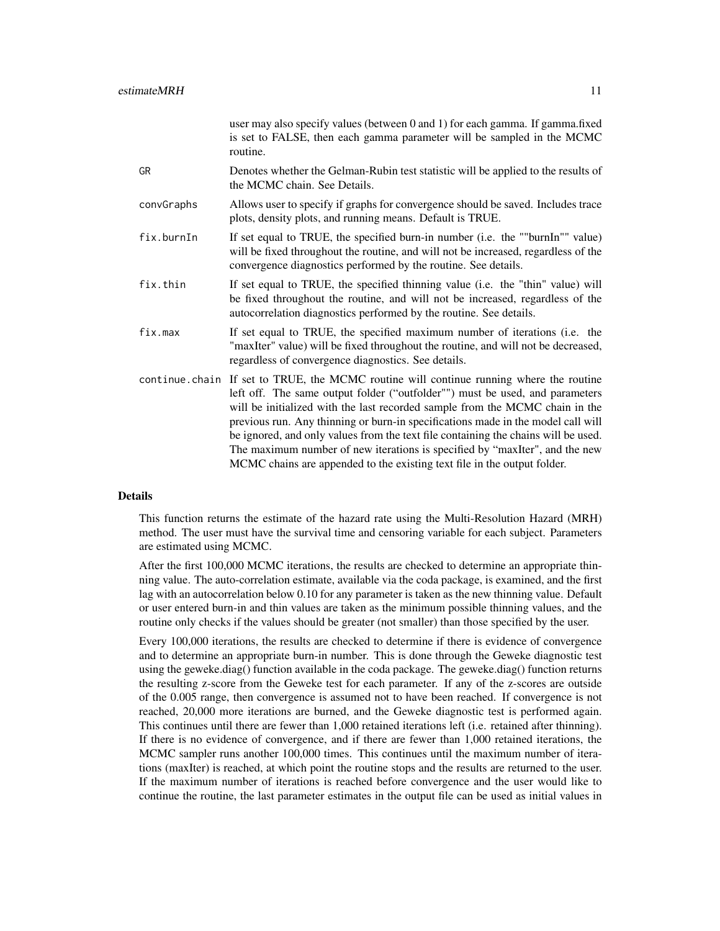| is set to FALSE, then each gamma parameter will be sampled in the MCMC<br>routine.                                                                                                                                                                                                                                                                                                                                                                                                                                                                                                           |
|----------------------------------------------------------------------------------------------------------------------------------------------------------------------------------------------------------------------------------------------------------------------------------------------------------------------------------------------------------------------------------------------------------------------------------------------------------------------------------------------------------------------------------------------------------------------------------------------|
| Denotes whether the Gelman-Rubin test statistic will be applied to the results of<br>the MCMC chain. See Details.                                                                                                                                                                                                                                                                                                                                                                                                                                                                            |
| Allows user to specify if graphs for convergence should be saved. Includes trace<br>plots, density plots, and running means. Default is TRUE.                                                                                                                                                                                                                                                                                                                                                                                                                                                |
| If set equal to TRUE, the specified burn-in number (i.e. the ""burnIn"" value)<br>will be fixed throughout the routine, and will not be increased, regardless of the<br>convergence diagnostics performed by the routine. See details.                                                                                                                                                                                                                                                                                                                                                       |
| If set equal to TRUE, the specified thinning value (i.e. the "thin" value) will<br>be fixed throughout the routine, and will not be increased, regardless of the<br>autocorrelation diagnostics performed by the routine. See details.                                                                                                                                                                                                                                                                                                                                                       |
| If set equal to TRUE, the specified maximum number of iterations (i.e. the<br>"maxIter" value) will be fixed throughout the routine, and will not be decreased,<br>regardless of convergence diagnostics. See details.                                                                                                                                                                                                                                                                                                                                                                       |
| continue chain If set to TRUE, the MCMC routine will continue running where the routine<br>left off. The same output folder ("outfolder"") must be used, and parameters<br>will be initialized with the last recorded sample from the MCMC chain in the<br>previous run. Any thinning or burn-in specifications made in the model call will<br>be ignored, and only values from the text file containing the chains will be used.<br>The maximum number of new iterations is specified by "maxIter", and the new<br>MCMC chains are appended to the existing text file in the output folder. |
|                                                                                                                                                                                                                                                                                                                                                                                                                                                                                                                                                                                              |

#### Details

This function returns the estimate of the hazard rate using the Multi-Resolution Hazard (MRH) method. The user must have the survival time and censoring variable for each subject. Parameters are estimated using MCMC.

After the first 100,000 MCMC iterations, the results are checked to determine an appropriate thinning value. The auto-correlation estimate, available via the coda package, is examined, and the first lag with an autocorrelation below 0.10 for any parameter is taken as the new thinning value. Default or user entered burn-in and thin values are taken as the minimum possible thinning values, and the routine only checks if the values should be greater (not smaller) than those specified by the user.

Every 100,000 iterations, the results are checked to determine if there is evidence of convergence and to determine an appropriate burn-in number. This is done through the Geweke diagnostic test using the geweke.diag() function available in the coda package. The geweke.diag() function returns the resulting z-score from the Geweke test for each parameter. If any of the z-scores are outside of the 0.005 range, then convergence is assumed not to have been reached. If convergence is not reached, 20,000 more iterations are burned, and the Geweke diagnostic test is performed again. This continues until there are fewer than 1,000 retained iterations left (i.e. retained after thinning). If there is no evidence of convergence, and if there are fewer than 1,000 retained iterations, the MCMC sampler runs another 100,000 times. This continues until the maximum number of iterations (maxIter) is reached, at which point the routine stops and the results are returned to the user. If the maximum number of iterations is reached before convergence and the user would like to continue the routine, the last parameter estimates in the output file can be used as initial values in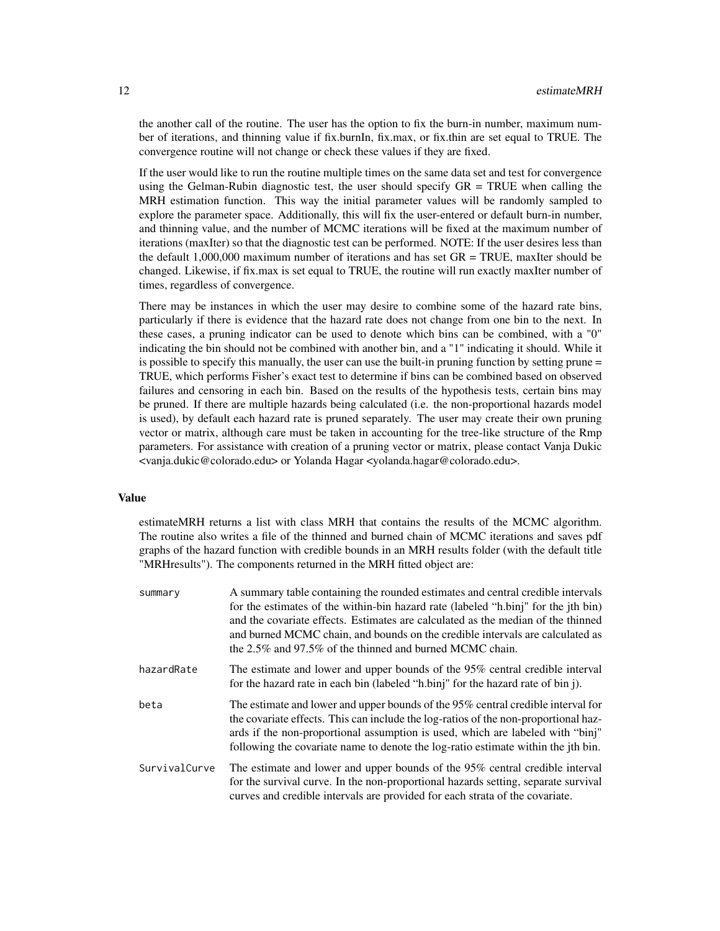the another call of the routine. The user has the option to fix the burn-in number, maximum number of iterations, and thinning value if fix.burnIn, fix.max, or fix.thin are set equal to TRUE. The convergence routine will not change or check these values if they are fixed.

If the user would like to run the routine multiple times on the same data set and test for convergence using the Gelman-Rubin diagnostic test, the user should specify  $GR = TRUE$  when calling the MRH estimation function. This way the initial parameter values will be randomly sampled to explore the parameter space. Additionally, this will fix the user-entered or default burn-in number, and thinning value, and the number of MCMC iterations will be fixed at the maximum number of iterations (maxIter) so that the diagnostic test can be performed. NOTE: If the user desires less than the default 1,000,000 maximum number of iterations and has set  $GR = TRUE$ , maxIter should be changed. Likewise, if fix.max is set equal to TRUE, the routine will run exactly maxIter number of times, regardless of convergence.

There may be instances in which the user may desire to combine some of the hazard rate bins, particularly if there is evidence that the hazard rate does not change from one bin to the next. In these cases, a pruning indicator can be used to denote which bins can be combined, with a "0" indicating the bin should not be combined with another bin, and a "1" indicating it should. While it is possible to specify this manually, the user can use the built-in pruning function by setting prune = TRUE, which performs Fisher's exact test to determine if bins can be combined based on observed failures and censoring in each bin. Based on the results of the hypothesis tests, certain bins may be pruned. If there are multiple hazards being calculated (i.e. the non-proportional hazards model is used), by default each hazard rate is pruned separately. The user may create their own pruning vector or matrix, although care must be taken in accounting for the tree-like structure of the Rmp parameters. For assistance with creation of a pruning vector or matrix, please contact Vanja Dukic <vanja.dukic@colorado.edu> or Yolanda Hagar <yolanda.hagar@colorado.edu>.

#### Value

estimateMRH returns a list with class MRH that contains the results of the MCMC algorithm. The routine also writes a file of the thinned and burned chain of MCMC iterations and saves pdf graphs of the hazard function with credible bounds in an MRH results folder (with the default title "MRHresults"). The components returned in the MRH fitted object are:

| summary       | A summary table containing the rounded estimates and central credible intervals<br>for the estimates of the within-bin hazard rate (labeled "h.binj" for the jth bin)<br>and the covariate effects. Estimates are calculated as the median of the thinned<br>and burned MCMC chain, and bounds on the credible intervals are calculated as<br>the 2.5% and 97.5% of the thinned and burned MCMC chain. |
|---------------|--------------------------------------------------------------------------------------------------------------------------------------------------------------------------------------------------------------------------------------------------------------------------------------------------------------------------------------------------------------------------------------------------------|
| hazardRate    | The estimate and lower and upper bounds of the 95% central credible interval<br>for the hazard rate in each bin (labeled "h.binj" for the hazard rate of bin j).                                                                                                                                                                                                                                       |
| beta          | The estimate and lower and upper bounds of the 95% central credible interval for<br>the covariate effects. This can include the log-ratios of the non-proportional haz-<br>ards if the non-proportional assumption is used, which are labeled with "binj"<br>following the covariate name to denote the log-ratio estimate within the jth bin.                                                         |
| SurvivalCurve | The estimate and lower and upper bounds of the 95% central credible interval<br>for the survival curve. In the non-proportional hazards setting, separate survival<br>curves and credible intervals are provided for each strata of the covariate.                                                                                                                                                     |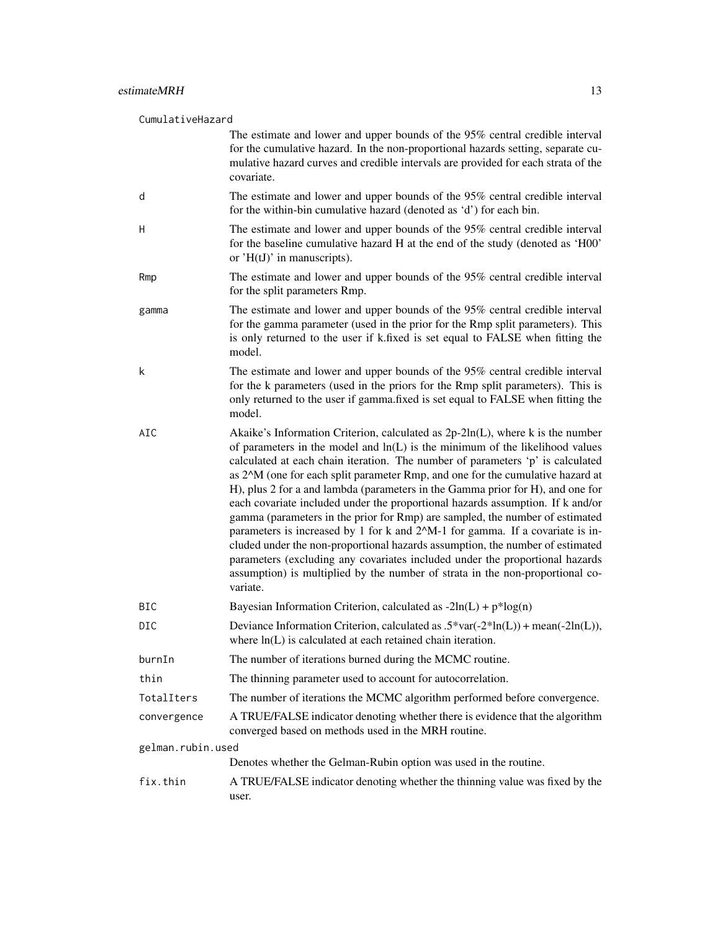| CumulativeHazard  |                                                                                                                                                                                                                                                                                                                                                                                                                                                                                                                                                                                                                                                                                                                                                                                                                                                                                                                                         |
|-------------------|-----------------------------------------------------------------------------------------------------------------------------------------------------------------------------------------------------------------------------------------------------------------------------------------------------------------------------------------------------------------------------------------------------------------------------------------------------------------------------------------------------------------------------------------------------------------------------------------------------------------------------------------------------------------------------------------------------------------------------------------------------------------------------------------------------------------------------------------------------------------------------------------------------------------------------------------|
|                   | The estimate and lower and upper bounds of the 95% central credible interval<br>for the cumulative hazard. In the non-proportional hazards setting, separate cu-<br>mulative hazard curves and credible intervals are provided for each strata of the<br>covariate.                                                                                                                                                                                                                                                                                                                                                                                                                                                                                                                                                                                                                                                                     |
| d                 | The estimate and lower and upper bounds of the 95% central credible interval<br>for the within-bin cumulative hazard (denoted as 'd') for each bin.                                                                                                                                                                                                                                                                                                                                                                                                                                                                                                                                                                                                                                                                                                                                                                                     |
| H                 | The estimate and lower and upper bounds of the 95% central credible interval<br>for the baseline cumulative hazard H at the end of the study (denoted as 'H00'<br>or $'H(U)$ in manuscripts).                                                                                                                                                                                                                                                                                                                                                                                                                                                                                                                                                                                                                                                                                                                                           |
| Rmp               | The estimate and lower and upper bounds of the 95% central credible interval<br>for the split parameters Rmp.                                                                                                                                                                                                                                                                                                                                                                                                                                                                                                                                                                                                                                                                                                                                                                                                                           |
| gamma             | The estimate and lower and upper bounds of the 95% central credible interval<br>for the gamma parameter (used in the prior for the Rmp split parameters). This<br>is only returned to the user if k.fixed is set equal to FALSE when fitting the<br>model.                                                                                                                                                                                                                                                                                                                                                                                                                                                                                                                                                                                                                                                                              |
| k                 | The estimate and lower and upper bounds of the 95% central credible interval<br>for the k parameters (used in the priors for the Rmp split parameters). This is<br>only returned to the user if gamma.fixed is set equal to FALSE when fitting the<br>model.                                                                                                                                                                                                                                                                                                                                                                                                                                                                                                                                                                                                                                                                            |
| AIC               | Akaike's Information Criterion, calculated as 2p-2ln(L), where k is the number<br>of parameters in the model and $ln(L)$ is the minimum of the likelihood values<br>calculated at each chain iteration. The number of parameters 'p' is calculated<br>as 2^M (one for each split parameter Rmp, and one for the cumulative hazard at<br>H), plus 2 for a and lambda (parameters in the Gamma prior for H), and one for<br>each covariate included under the proportional hazards assumption. If k and/or<br>gamma (parameters in the prior for Rmp) are sampled, the number of estimated<br>parameters is increased by 1 for k and 2^M-1 for gamma. If a covariate is in-<br>cluded under the non-proportional hazards assumption, the number of estimated<br>parameters (excluding any covariates included under the proportional hazards<br>assumption) is multiplied by the number of strata in the non-proportional co-<br>variate. |
| BIC               | Bayesian Information Criterion, calculated as $-2\ln(L) + p^* \log(n)$                                                                                                                                                                                                                                                                                                                                                                                                                                                                                                                                                                                                                                                                                                                                                                                                                                                                  |
| <b>DIC</b>        | Deviance Information Criterion, calculated as $.5*var(-2*ln(L)) + mean(-2ln(L)),$<br>where ln(L) is calculated at each retained chain iteration.                                                                                                                                                                                                                                                                                                                                                                                                                                                                                                                                                                                                                                                                                                                                                                                        |
| burnIn            | The number of iterations burned during the MCMC routine.                                                                                                                                                                                                                                                                                                                                                                                                                                                                                                                                                                                                                                                                                                                                                                                                                                                                                |
| thin              | The thinning parameter used to account for autocorrelation.                                                                                                                                                                                                                                                                                                                                                                                                                                                                                                                                                                                                                                                                                                                                                                                                                                                                             |
| TotalIters        | The number of iterations the MCMC algorithm performed before convergence.                                                                                                                                                                                                                                                                                                                                                                                                                                                                                                                                                                                                                                                                                                                                                                                                                                                               |
| convergence       | A TRUE/FALSE indicator denoting whether there is evidence that the algorithm<br>converged based on methods used in the MRH routine.                                                                                                                                                                                                                                                                                                                                                                                                                                                                                                                                                                                                                                                                                                                                                                                                     |
| gelman.rubin.used |                                                                                                                                                                                                                                                                                                                                                                                                                                                                                                                                                                                                                                                                                                                                                                                                                                                                                                                                         |
|                   | Denotes whether the Gelman-Rubin option was used in the routine.                                                                                                                                                                                                                                                                                                                                                                                                                                                                                                                                                                                                                                                                                                                                                                                                                                                                        |
| fix.thin          | A TRUE/FALSE indicator denoting whether the thinning value was fixed by the<br>user.                                                                                                                                                                                                                                                                                                                                                                                                                                                                                                                                                                                                                                                                                                                                                                                                                                                    |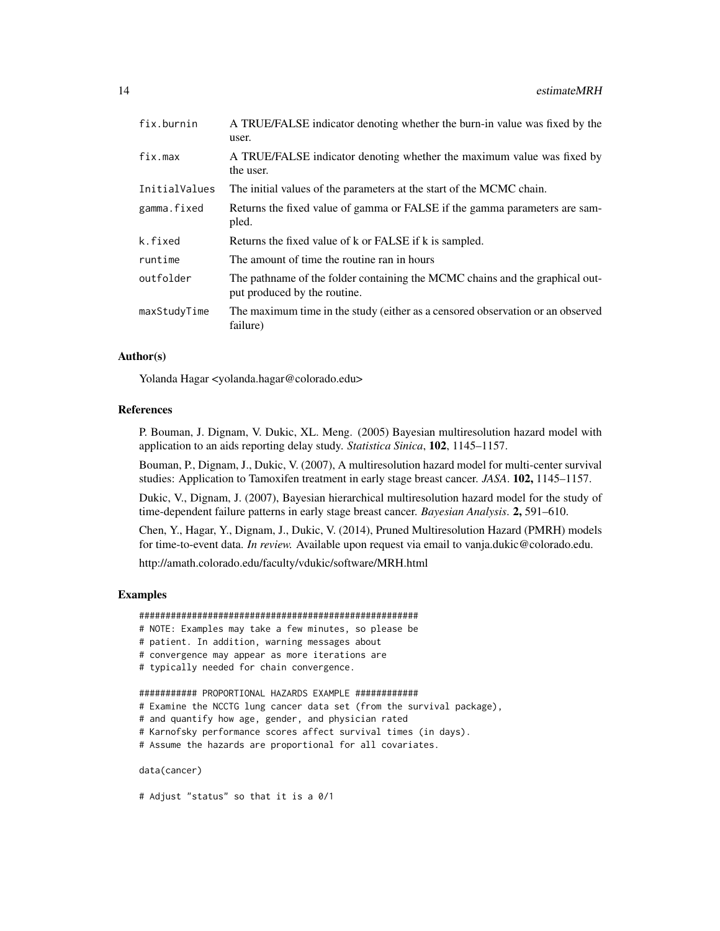| fix.burnin    | A TRUE/FALSE indicator denoting whether the burn-in value was fixed by the<br>user.                          |
|---------------|--------------------------------------------------------------------------------------------------------------|
| fix.max       | A TRUE/FALSE indicator denoting whether the maximum value was fixed by<br>the user.                          |
| InitialValues | The initial values of the parameters at the start of the MCMC chain.                                         |
| gamma.fixed   | Returns the fixed value of gamma or FALSE if the gamma parameters are sam-<br>pled.                          |
| k.fixed       | Returns the fixed value of k or FALSE if k is sampled.                                                       |
| runtime       | The amount of time the routine ran in hours                                                                  |
| outfolder     | The pathname of the folder containing the MCMC chains and the graphical out-<br>put produced by the routine. |
| maxStudyTime  | The maximum time in the study (either as a censored observation or an observed<br>failure)                   |

## Author(s)

Yolanda Hagar <yolanda.hagar@colorado.edu>

#### References

P. Bouman, J. Dignam, V. Dukic, XL. Meng. (2005) Bayesian multiresolution hazard model with application to an aids reporting delay study. *Statistica Sinica*, 102, 1145–1157.

Bouman, P., Dignam, J., Dukic, V. (2007), A multiresolution hazard model for multi-center survival studies: Application to Tamoxifen treatment in early stage breast cancer. *JASA*. 102, 1145–1157.

Dukic, V., Dignam, J. (2007), Bayesian hierarchical multiresolution hazard model for the study of time-dependent failure patterns in early stage breast cancer. *Bayesian Analysis*. 2, 591–610.

Chen, Y., Hagar, Y., Dignam, J., Dukic, V. (2014), Pruned Multiresolution Hazard (PMRH) models for time-to-event data. *In review.* Available upon request via email to vanja.dukic@colorado.edu.

http://amath.colorado.edu/faculty/vdukic/software/MRH.html

#### Examples

#### #####################################################

- # NOTE: Examples may take a few minutes, so please be
- # patient. In addition, warning messages about
- # convergence may appear as more iterations are
- # typically needed for chain convergence.

```
########### PROPORTIONAL HAZARDS EXAMPLE ############
```
- # Examine the NCCTG lung cancer data set (from the survival package),
- # and quantify how age, gender, and physician rated
- # Karnofsky performance scores affect survival times (in days).
- # Assume the hazards are proportional for all covariates.

data(cancer)

```
# Adjust "status" so that it is a 0/1
```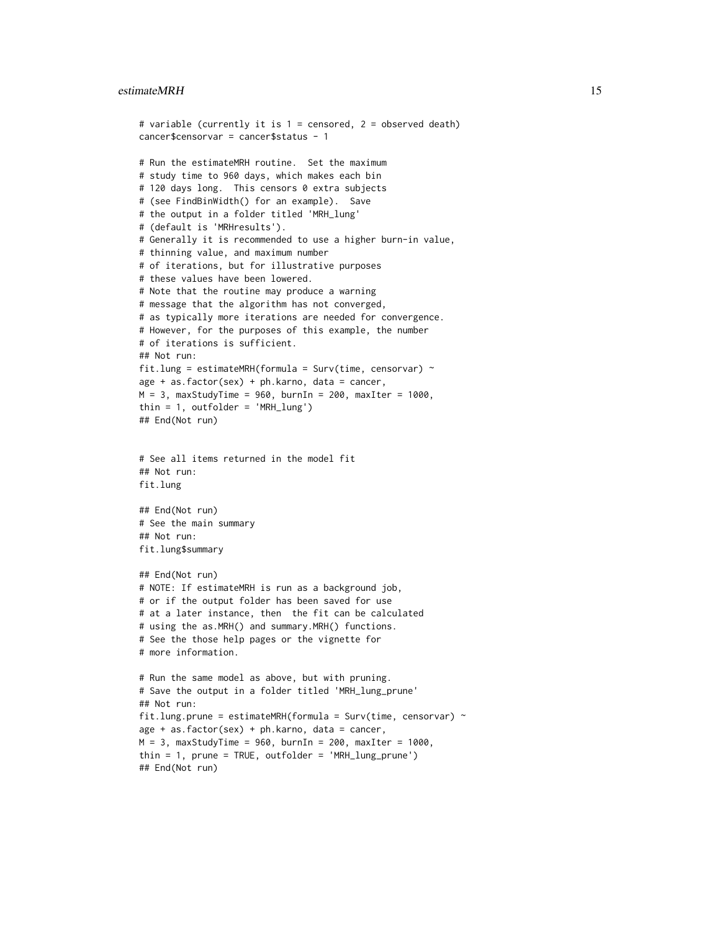#### estimateMRH 15

```
# variable (currently it is 1 = censored, 2 = observed death)
cancer$censorvar = cancer$status - 1
# Run the estimateMRH routine. Set the maximum
# study time to 960 days, which makes each bin
# 120 days long. This censors 0 extra subjects
# (see FindBinWidth() for an example). Save
# the output in a folder titled 'MRH_lung'
# (default is 'MRHresults').
# Generally it is recommended to use a higher burn-in value,
# thinning value, and maximum number
# of iterations, but for illustrative purposes
# these values have been lowered.
# Note that the routine may produce a warning
# message that the algorithm has not converged,
# as typically more iterations are needed for convergence.
# However, for the purposes of this example, the number
# of iterations is sufficient.
## Not run:
fit.lung = estimateMRH(formula = Surv(time, censorvar) \simage + as.factor(sex) + ph.karno, data = cancer,
M = 3, maxStudyTime = 960, burnIn = 200, maxIter = 1000,
thin = 1, outfolder = 'MRH_lung')
## End(Not run)
# See all items returned in the model fit
## Not run:
fit.lung
## End(Not run)
# See the main summary
## Not run:
fit.lung$summary
## End(Not run)
# NOTE: If estimateMRH is run as a background job,
# or if the output folder has been saved for use
# at a later instance, then the fit can be calculated
# using the as.MRH() and summary.MRH() functions.
# See the those help pages or the vignette for
# more information.
# Run the same model as above, but with pruning.
# Save the output in a folder titled 'MRH_lung_prune'
## Not run:
fit.lung.prune = estimateMRH(formula = Surv(time, censorvar) \simage + as.factor(sex) + ph.karno, data = cancer,
M = 3, maxStudyTime = 960, burnIn = 200, maxIter = 1000,
thin = 1, prune = TRUE, outfolder = 'MRH_lung_prune')
## End(Not run)
```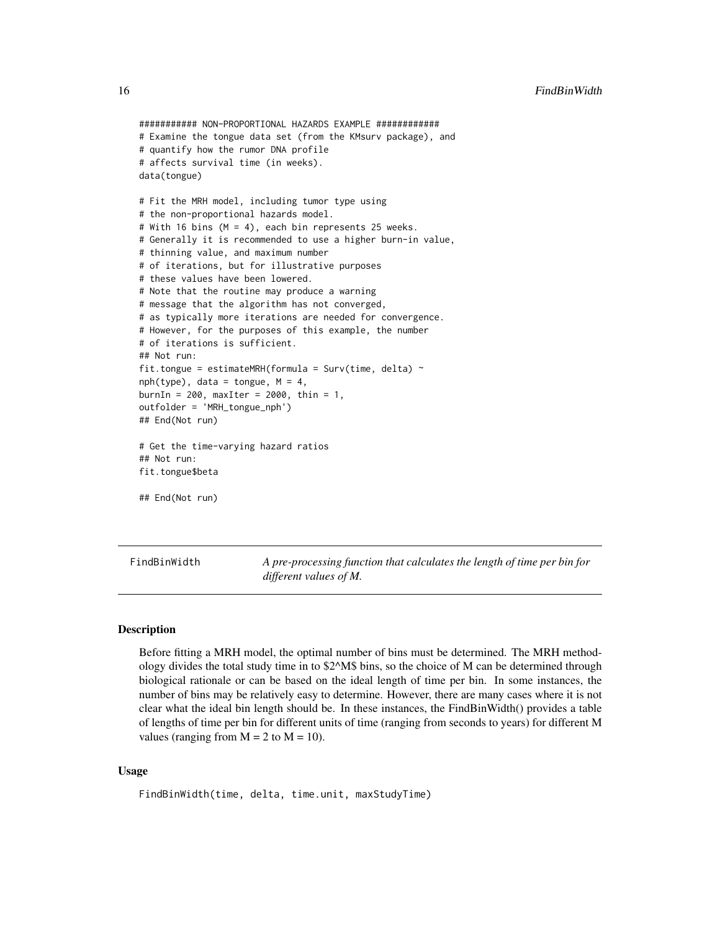```
########### NON-PROPORTIONAL HAZARDS EXAMPLE ############
# Examine the tongue data set (from the KMsurv package), and
# quantify how the rumor DNA profile
# affects survival time (in weeks).
data(tongue)
# Fit the MRH model, including tumor type using
# the non-proportional hazards model.
# With 16 bins (M = 4), each bin represents 25 weeks.
# Generally it is recommended to use a higher burn-in value,
# thinning value, and maximum number
# of iterations, but for illustrative purposes
# these values have been lowered.
# Note that the routine may produce a warning
# message that the algorithm has not converged,
# as typically more iterations are needed for convergence.
# However, for the purposes of this example, the number
# of iterations is sufficient.
## Not run:
fit.tongue = estimateMRH(formula = Surv(time, delta) \simnph(type), data = tongue, M = 4,
burnIn = 200, maxIter = 2000, thin = 1,
outfolder = 'MRH_tongue_nph')
## End(Not run)
# Get the time-varying hazard ratios
## Not run:
fit.tongue$beta
## End(Not run)
```
FindBinWidth *A pre-processing function that calculates the length of time per bin for different values of M.*

#### **Description**

Before fitting a MRH model, the optimal number of bins must be determined. The MRH methodology divides the total study time in to \$2^M\$ bins, so the choice of M can be determined through biological rationale or can be based on the ideal length of time per bin. In some instances, the number of bins may be relatively easy to determine. However, there are many cases where it is not clear what the ideal bin length should be. In these instances, the FindBinWidth() provides a table of lengths of time per bin for different units of time (ranging from seconds to years) for different M values (ranging from  $M = 2$  to  $M = 10$ ).

#### Usage

```
FindBinWidth(time, delta, time.unit, maxStudyTime)
```
<span id="page-15-0"></span>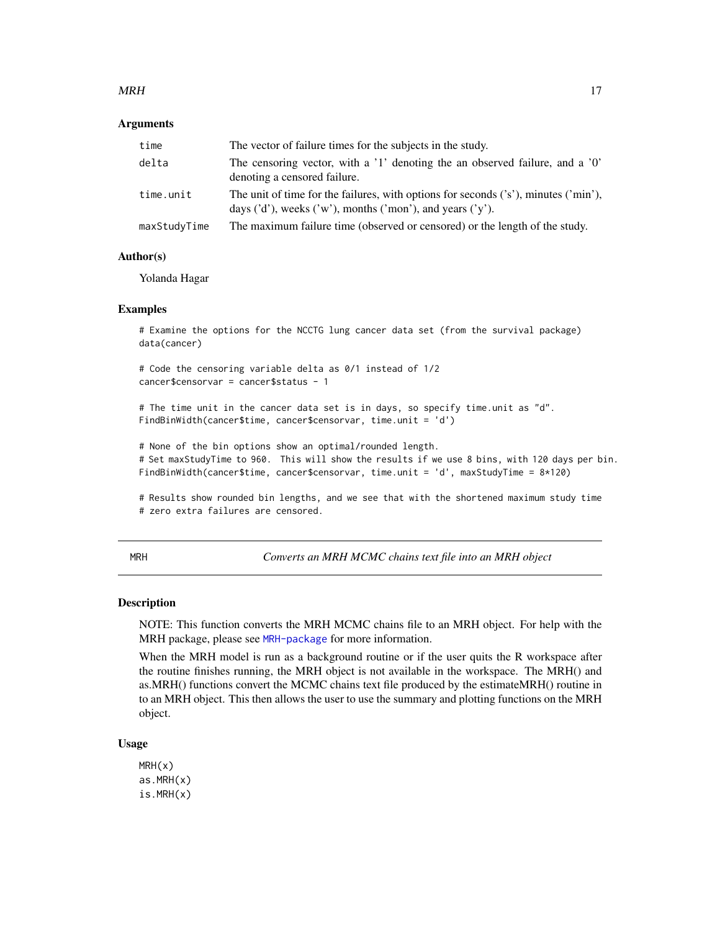#### <span id="page-16-0"></span> $MRH$  and the contract of the contract of the contract of the contract of the contract of the contract of the contract of the contract of the contract of the contract of the contract of the contract of the contract of the

#### **Arguments**

| time         | The vector of failure times for the subjects in the study.                                                                                                         |
|--------------|--------------------------------------------------------------------------------------------------------------------------------------------------------------------|
| delta        | The censoring vector, with a '1' denoting the an observed failure, and a '0'<br>denoting a censored failure.                                                       |
| time.unit    | The unit of time for the failures, with options for seconds $('s')$ , minutes $('min')$ ,<br>days $('d')$ , weeks $('w')$ , months $('mon')$ , and years $('y')$ . |
| maxStudyTime | The maximum failure time (observed or censored) or the length of the study.                                                                                        |

#### Author(s)

Yolanda Hagar

#### Examples

```
# Examine the options for the NCCTG lung cancer data set (from the survival package)
data(cancer)
```

```
# Code the censoring variable delta as 0/1 instead of 1/2
cancer$censorvar = cancer$status - 1
```

```
# The time unit in the cancer data set is in days, so specify time.unit as "d".
FindBinWidth(cancer$time, cancer$censorvar, time.unit = 'd')
```
# None of the bin options show an optimal/rounded length. # Set maxStudyTime to 960. This will show the results if we use 8 bins, with 120 days per bin. FindBinWidth(cancer\$time, cancer\$censorvar, time.unit = 'd', maxStudyTime = 8\*120)

# Results show rounded bin lengths, and we see that with the shortened maximum study time # zero extra failures are censored.

MRH *Converts an MRH MCMC chains text file into an MRH object*

## **Description**

NOTE: This function converts the MRH MCMC chains file to an MRH object. For help with the MRH package, please see [MRH-package](#page-1-1) for more information.

When the MRH model is run as a background routine or if the user quits the R workspace after the routine finishes running, the MRH object is not available in the workspace. The MRH() and as.MRH() functions convert the MCMC chains text file produced by the estimateMRH() routine in to an MRH object. This then allows the user to use the summary and plotting functions on the MRH object.

#### Usage

MRH(x) as.MRH(x) is.MRH(x)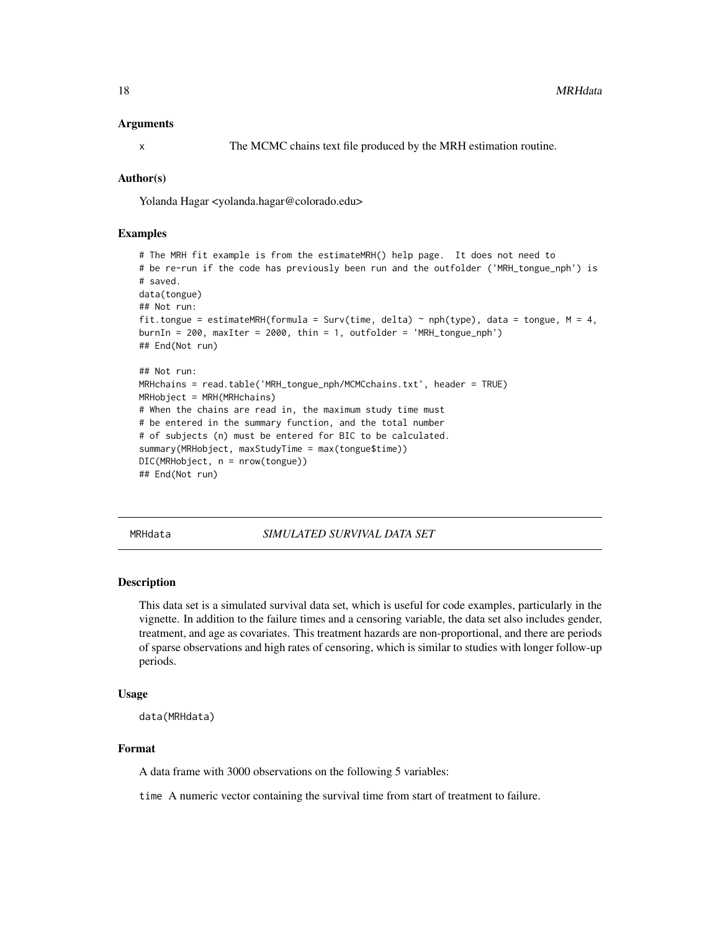#### <span id="page-17-0"></span>Arguments

x The MCMC chains text file produced by the MRH estimation routine.

#### Author(s)

Yolanda Hagar <yolanda.hagar@colorado.edu>

#### Examples

```
# The MRH fit example is from the estimateMRH() help page. It does not need to
# be re-run if the code has previously been run and the outfolder ('MRH_tongue_nph') is
# saved.
data(tongue)
## Not run:
fit.tongue = estimateMRH(formula = Surv(time, delta) ~ nph(type), data = tongue, M = 4,
burnIn = 200, maxIter = 2000, thin = 1, outfolder = 'MRH_tongue_nph')
## End(Not run)
## Not run:
MRHchains = read.table('MRH_tongue_nph/MCMCchains.txt', header = TRUE)
MRHobject = MRH(MRHchains)
# When the chains are read in, the maximum study time must
# be entered in the summary function, and the total number
# of subjects (n) must be entered for BIC to be calculated.
summary(MRHobject, maxStudyTime = max(tongue$time))
DIC(MRHobject, n = nrow(tongue))
## End(Not run)
```
#### MRHdata *SIMULATED SURVIVAL DATA SET*

#### Description

This data set is a simulated survival data set, which is useful for code examples, particularly in the vignette. In addition to the failure times and a censoring variable, the data set also includes gender, treatment, and age as covariates. This treatment hazards are non-proportional, and there are periods of sparse observations and high rates of censoring, which is similar to studies with longer follow-up periods.

#### Usage

```
data(MRHdata)
```
## Format

A data frame with 3000 observations on the following 5 variables:

time A numeric vector containing the survival time from start of treatment to failure.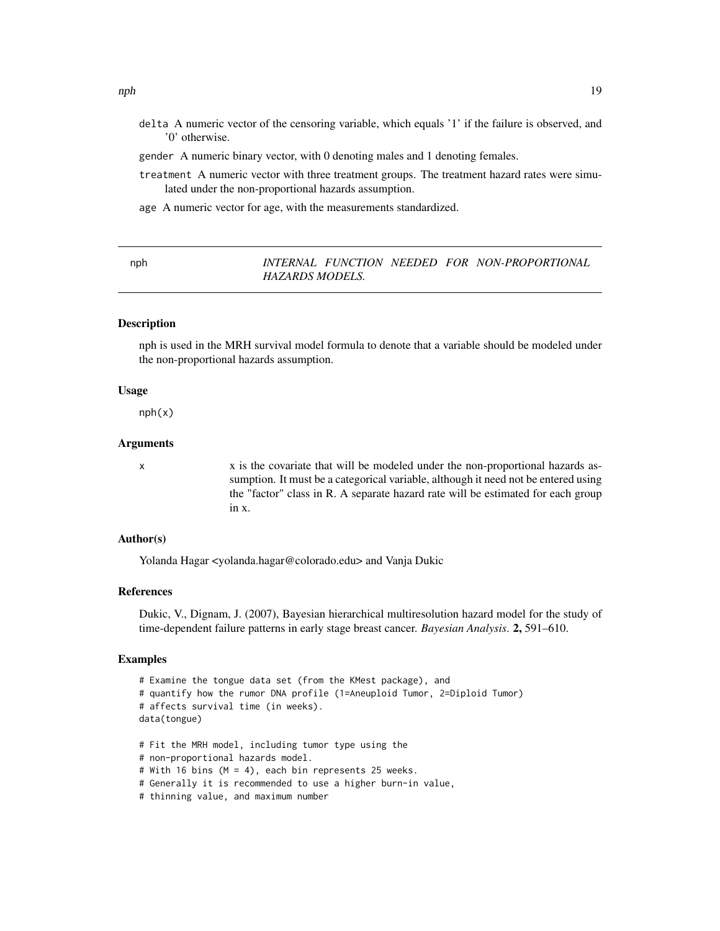- <span id="page-18-0"></span>delta A numeric vector of the censoring variable, which equals '1' if the failure is observed, and '0' otherwise.
- gender A numeric binary vector, with 0 denoting males and 1 denoting females.
- treatment A numeric vector with three treatment groups. The treatment hazard rates were simulated under the non-proportional hazards assumption.
- age A numeric vector for age, with the measurements standardized.

#### nph *INTERNAL FUNCTION NEEDED FOR NON-PROPORTIONAL HAZARDS MODELS.*

## **Description**

nph is used in the MRH survival model formula to denote that a variable should be modeled under the non-proportional hazards assumption.

#### Usage

nph(x)

#### Arguments

x x is the covariate that will be modeled under the non-proportional hazards assumption. It must be a categorical variable, although it need not be entered using the "factor" class in R. A separate hazard rate will be estimated for each group in x.

#### Author(s)

Yolanda Hagar <yolanda.hagar@colorado.edu> and Vanja Dukic

#### References

Dukic, V., Dignam, J. (2007), Bayesian hierarchical multiresolution hazard model for the study of time-dependent failure patterns in early stage breast cancer. *Bayesian Analysis*. 2, 591–610.

#### Examples

```
# Examine the tongue data set (from the KMest package), and
# quantify how the rumor DNA profile (1=Aneuploid Tumor, 2=Diploid Tumor)
# affects survival time (in weeks).
data(tongue)
# Fit the MRH model, including tumor type using the
# non-proportional hazards model.
# With 16 bins (M = 4), each bin represents 25 weeks.
# Generally it is recommended to use a higher burn-in value,
# thinning value, and maximum number
```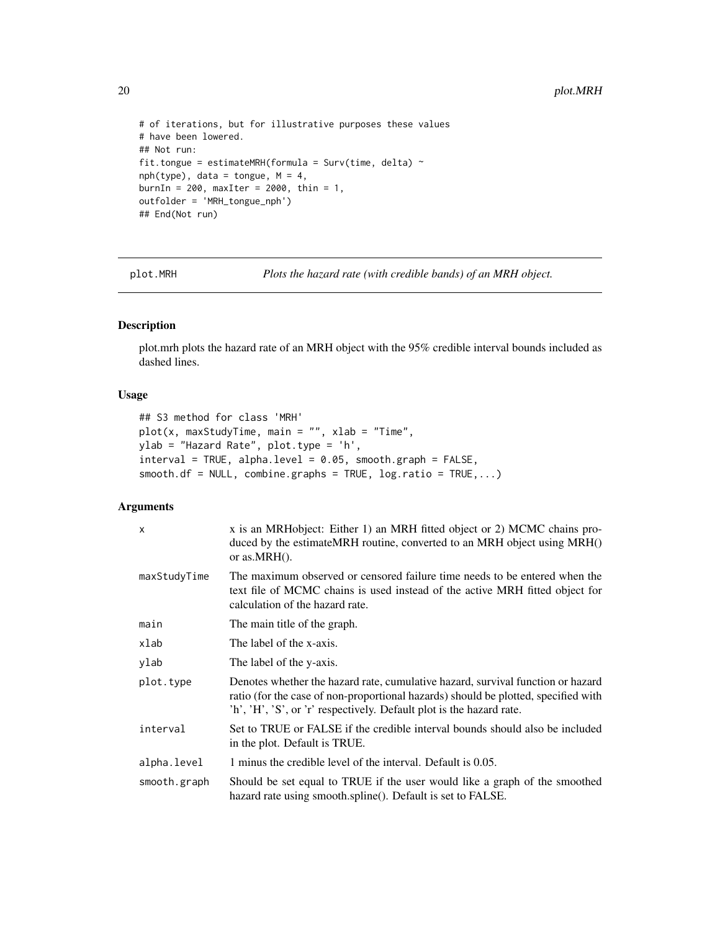```
# of iterations, but for illustrative purposes these values
# have been lowered.
## Not run:
fit.tongue = estimateMRH(formula = Surv(time, delta) \simnph(type), data = tongue, M = 4,
burnIn = 200, maxIter = 2000, thin = 1,
outfolder = 'MRH_tongue_nph')
## End(Not run)
```
plot.MRH *Plots the hazard rate (with credible bands) of an MRH object.*

#### Description

plot.mrh plots the hazard rate of an MRH object with the 95% credible interval bounds included as dashed lines.

## Usage

```
## S3 method for class 'MRH'
plot(x, maxStudyTime, main = "", xlab = "Time",
ylab = "Hazard Rate", plot.type = 'h',
interval = TRUE, alpha.level = 0.05, smooth.graph = FALSE,
smooth.df = NULL, combine.graphs = TRUE, log.ratio = TRUE, ...)
```
## Arguments

| $\mathsf{x}$ | x is an MRHobject: Either 1) an MRH fitted object or 2) MCMC chains pro-<br>duced by the estimate MRH routine, converted to an MRH object using MRH()<br>or as. $MRH()$ .                                                                     |
|--------------|-----------------------------------------------------------------------------------------------------------------------------------------------------------------------------------------------------------------------------------------------|
| maxStudyTime | The maximum observed or censored failure time needs to be entered when the<br>text file of MCMC chains is used instead of the active MRH fitted object for<br>calculation of the hazard rate.                                                 |
| main         | The main title of the graph.                                                                                                                                                                                                                  |
| xlab         | The label of the x-axis.                                                                                                                                                                                                                      |
| ylab         | The label of the y-axis.                                                                                                                                                                                                                      |
| plot.type    | Denotes whether the hazard rate, cumulative hazard, survival function or hazard<br>ratio (for the case of non-proportional hazards) should be plotted, specified with<br>'h', 'H', 'S', or 'r' respectively. Default plot is the hazard rate. |
| interval     | Set to TRUE or FALSE if the credible interval bounds should also be included<br>in the plot. Default is TRUE.                                                                                                                                 |
| alpha.level  | 1 minus the credible level of the interval. Default is 0.05.                                                                                                                                                                                  |
| smooth.graph | Should be set equal to TRUE if the user would like a graph of the smoothed<br>hazard rate using smooth.spline(). Default is set to FALSE.                                                                                                     |

<span id="page-19-0"></span>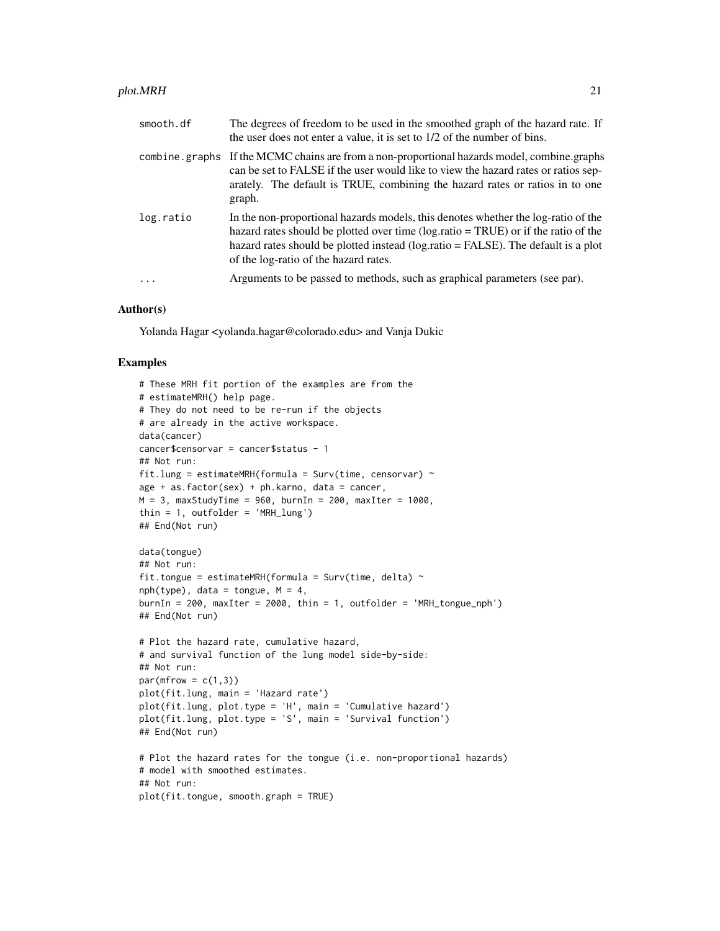#### plot.MRH 21

| smooth.df      | The degrees of freedom to be used in the smoothed graph of the hazard rate. If<br>the user does not enter a value, it is set to 1/2 of the number of bins.                                                                                                                                                |
|----------------|-----------------------------------------------------------------------------------------------------------------------------------------------------------------------------------------------------------------------------------------------------------------------------------------------------------|
| combine.graphs | If the MCMC chains are from a non-proportional hazards model, combine.graphs<br>can be set to FALSE if the user would like to view the hazard rates or ratios sep-<br>arately. The default is TRUE, combining the hazard rates or ratios in to one<br>graph.                                              |
| log.ratio      | In the non-proportional hazards models, this denotes whether the log-ratio of the<br>hazard rates should be plotted over time ( $log.ratio = TRUE$ ) or if the ratio of the<br>hazard rates should be plotted instead (log.ratio = FALSE). The default is a plot<br>of the log-ratio of the hazard rates. |
| $\ddots$ .     | Arguments to be passed to methods, such as graphical parameters (see par).                                                                                                                                                                                                                                |
|                |                                                                                                                                                                                                                                                                                                           |

## Author(s)

Yolanda Hagar <yolanda.hagar@colorado.edu> and Vanja Dukic

#### Examples

```
# These MRH fit portion of the examples are from the
# estimateMRH() help page.
# They do not need to be re-run if the objects
# are already in the active workspace.
data(cancer)
cancer$censorvar = cancer$status - 1
## Not run:
fit.lung = estimateMRH(formula = Surv(time, censorvar) \simage + as. factor(sex) + ph.karno, data = cancer,
M = 3, maxStudyTime = 960, burnIn = 200, maxIter = 1000,
thin = 1, outfolder = 'MRH_lung')
## End(Not run)
data(tongue)
## Not run:
fit.tongue = estimateMRH(formula = Surv(time, delta) \simnph(type), data = tongue, M = 4,
burnIn = 200, maxIter = 2000, thin = 1, outfolder = 'MRH_tongue_nph')
## End(Not run)
# Plot the hazard rate, cumulative hazard,
# and survival function of the lung model side-by-side:
## Not run:
par(mfrow = c(1,3))plot(fit.lung, main = 'Hazard rate')
plot(fit.lung, plot.type = 'H', main = 'Cumulative hazard')
plot(fit.lung, plot.type = 'S', main = 'Survival function')
## End(Not run)
# Plot the hazard rates for the tongue (i.e. non-proportional hazards)
# model with smoothed estimates.
## Not run:
plot(fit.tongue, smooth.graph = TRUE)
```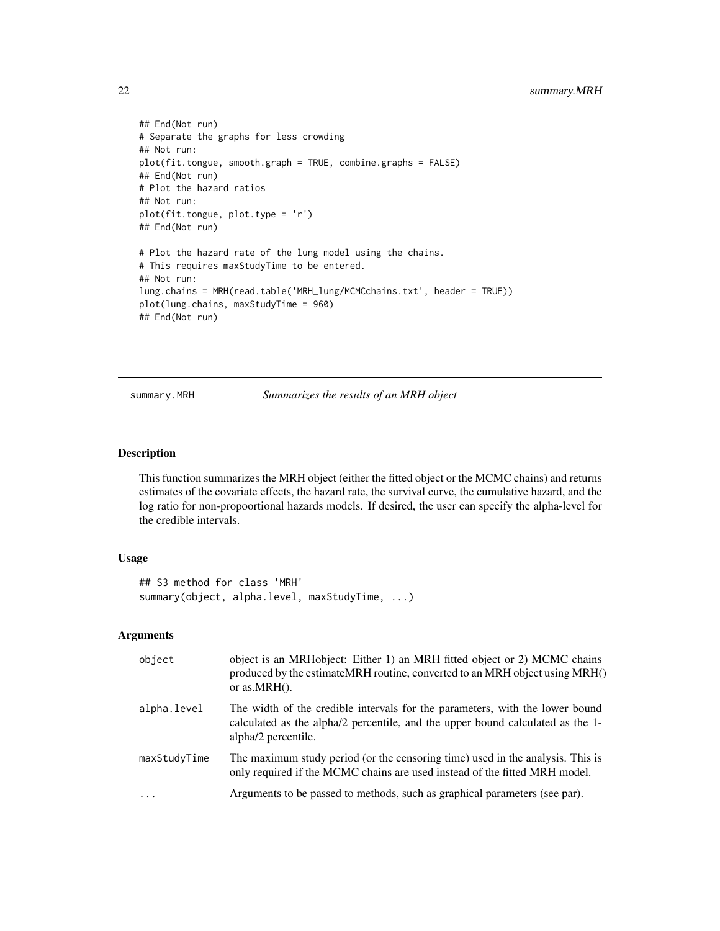```
## End(Not run)
# Separate the graphs for less crowding
## Not run:
plot(fit.tongue, smooth.graph = TRUE, combine.graphs = FALSE)
## End(Not run)
# Plot the hazard ratios
## Not run:
plot(fit.tongue, plot.type = 'r')
## End(Not run)
# Plot the hazard rate of the lung model using the chains.
# This requires maxStudyTime to be entered.
## Not run:
lung.chains = MRH(read.table('MRH_lung/MCMCchains.txt', header = TRUE))
plot(lung.chains, maxStudyTime = 960)
## End(Not run)
```
summary.MRH *Summarizes the results of an MRH object*

## Description

This function summarizes the MRH object (either the fitted object or the MCMC chains) and returns estimates of the covariate effects, the hazard rate, the survival curve, the cumulative hazard, and the log ratio for non-propoortional hazards models. If desired, the user can specify the alpha-level for the credible intervals.

#### Usage

```
## S3 method for class 'MRH'
summary(object, alpha.level, maxStudyTime, ...)
```
## Arguments

| object       | object is an MRHobject: Either 1) an MRH fitted object or 2) MCMC chains<br>produced by the estimate MRH routine, converted to an MRH object using MRH()<br>or as. $MRH()$ .          |
|--------------|---------------------------------------------------------------------------------------------------------------------------------------------------------------------------------------|
| alpha.level  | The width of the credible intervals for the parameters, with the lower bound<br>calculated as the alpha/2 percentile, and the upper bound calculated as the 1-<br>alpha/2 percentile. |
| maxStudyTime | The maximum study period (or the censoring time) used in the analysis. This is<br>only required if the MCMC chains are used instead of the fitted MRH model.                          |
| $\cdot$      | Arguments to be passed to methods, such as graphical parameters (see par).                                                                                                            |

<span id="page-21-0"></span>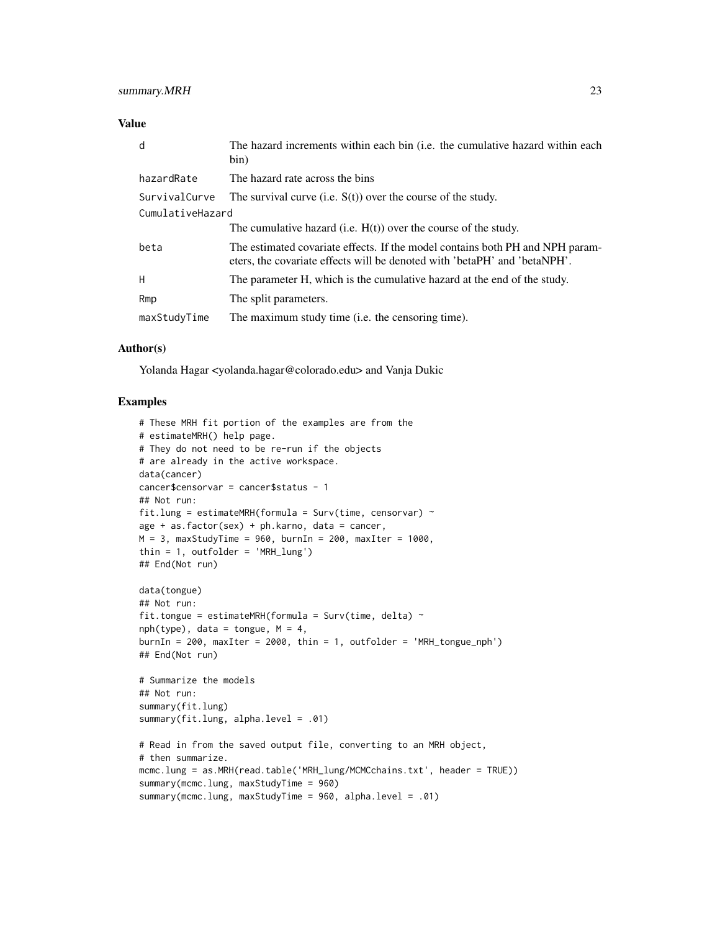#### Value

| d                | The hazard increments within each bin (i.e. the cumulative hazard within each<br>bin)                                                                      |
|------------------|------------------------------------------------------------------------------------------------------------------------------------------------------------|
| hazardRate       | The hazard rate across the bins                                                                                                                            |
| SurvivalCurve    | The survival curve (i.e. $S(t)$ ) over the course of the study.                                                                                            |
| CumulativeHazard |                                                                                                                                                            |
|                  | The cumulative hazard (i.e. $H(t)$ ) over the course of the study.                                                                                         |
| beta             | The estimated covariate effects. If the model contains both PH and NPH param-<br>eters, the covariate effects will be denoted with 'betaPH' and 'betaNPH'. |
| H                | The parameter H, which is the cumulative hazard at the end of the study.                                                                                   |
| Rmp              | The split parameters.                                                                                                                                      |
| maxStudyTime     | The maximum study time (i.e. the censoring time).                                                                                                          |

#### Author(s)

Yolanda Hagar <yolanda.hagar@colorado.edu> and Vanja Dukic

## Examples

```
# These MRH fit portion of the examples are from the
# estimateMRH() help page.
# They do not need to be re-run if the objects
# are already in the active workspace.
data(cancer)
cancer$censorvar = cancer$status - 1
## Not run:
fit.lung = estimateMRH(formula = Surv(time, censorvar) \simage + as.factor(sex) + ph.karno, data = cancer,
M = 3, maxStudyTime = 960, burnIn = 200, maxIter = 1000,
thin = 1, outfolder = 'MRH_lung')
## End(Not run)
data(tongue)
## Not run:
fit.tongue = estimateMRH(formula = Surv(time, delta) \simnph(type), data = tongue, M = 4,
burnIn = 200, maxIter = 2000, thin = 1, outfolder = 'MRH_tongue_nph')
## End(Not run)
# Summarize the models
## Not run:
summary(fit.lung)
summary(fit.lung, alpha.level = .01)
# Read in from the saved output file, converting to an MRH object,
# then summarize.
mcmc.lung = as.MRH(read.table('MRH_lung/MCMCchains.txt', header = TRUE))
summary(mcmc.lung, maxStudyTime = 960)
summary(mcmc.lung, maxStudyTime = 960, alpha.level = .01)
```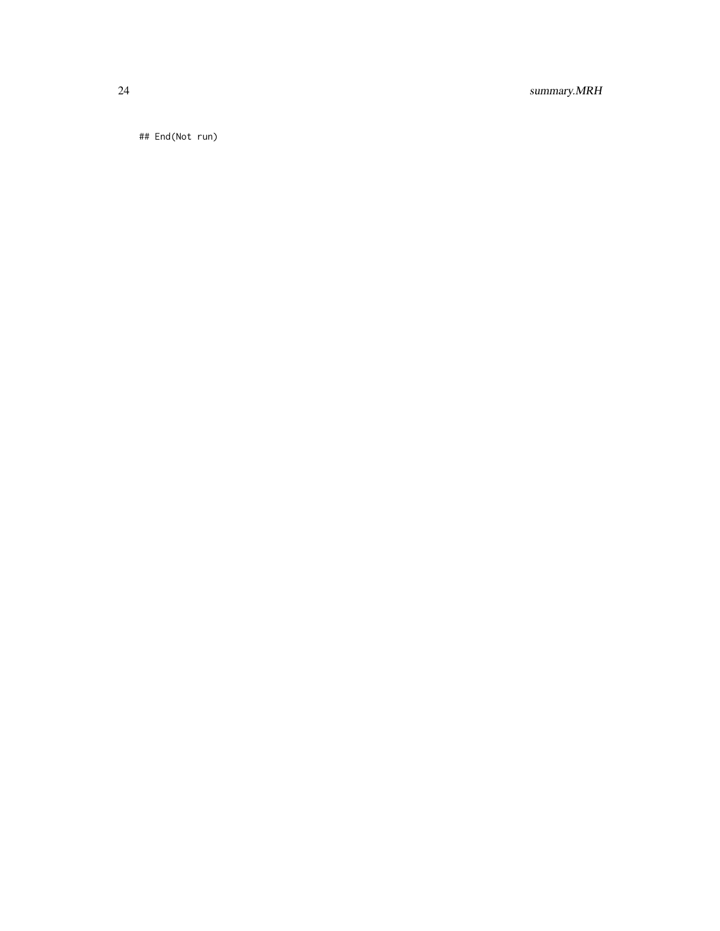24 summary.MRH

## End(Not run)